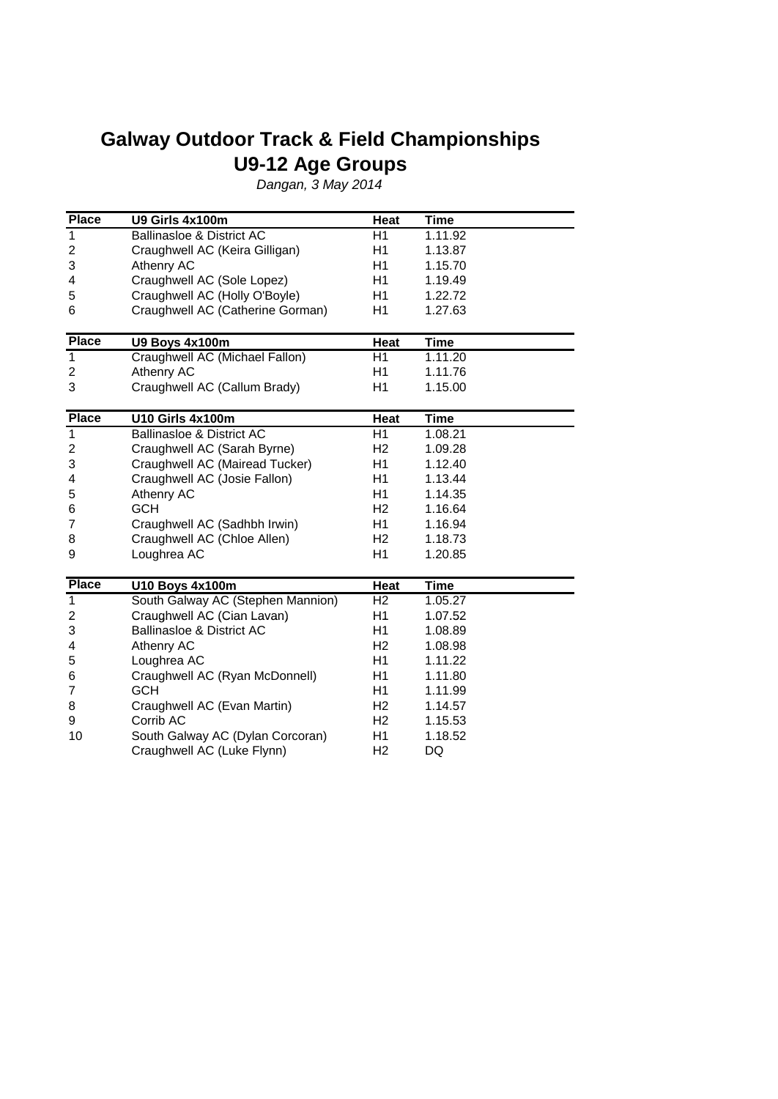## **Galway Outdoor Track & Field Championships U9-12 Age Groups**

Dangan, 3 May 2014

| <b>Place</b>            | U9 Girls 4x100m                      | Heat           | <b>Time</b> |
|-------------------------|--------------------------------------|----------------|-------------|
| 1                       | <b>Ballinasloe &amp; District AC</b> | H1             | 1.11.92     |
| $\overline{c}$          | Craughwell AC (Keira Gilligan)       | H1             | 1.13.87     |
| 3                       | Athenry AC                           | H1             | 1.15.70     |
| 4                       | Craughwell AC (Sole Lopez)           | H1             | 1.19.49     |
| 5                       | Craughwell AC (Holly O'Boyle)        | H1             | 1.22.72     |
| 6                       | Craughwell AC (Catherine Gorman)     | H1             | 1.27.63     |
| <b>Place</b>            | U9 Boys 4x100m                       | Heat           | <b>Time</b> |
| 1                       | Craughwell AC (Michael Fallon)       | H1             | 1.11.20     |
| $\overline{c}$          | Athenry AC                           | H1             | 1.11.76     |
| 3                       | Craughwell AC (Callum Brady)         | H1             | 1.15.00     |
| <b>Place</b>            | <b>U10 Girls 4x100m</b>              | Heat           | <b>Time</b> |
| $\overline{1}$          | <b>Ballinasloe &amp; District AC</b> | H1             | 1.08.21     |
| $\overline{\mathbf{c}}$ | Craughwell AC (Sarah Byrne)          | H <sub>2</sub> | 1.09.28     |
| 3                       | Craughwell AC (Mairead Tucker)       | H1             | 1.12.40     |
| 4                       | Craughwell AC (Josie Fallon)         | H1             | 1.13.44     |
| 5                       | Athenry AC                           | H1             | 1.14.35     |
| 6                       | <b>GCH</b>                           | H <sub>2</sub> | 1.16.64     |
| 7                       | Craughwell AC (Sadhbh Irwin)         | H1             | 1.16.94     |
| 8                       | Craughwell AC (Chloe Allen)          | H <sub>2</sub> | 1.18.73     |
| 9                       | Loughrea AC                          | H1             | 1.20.85     |
| <b>Place</b>            | U10 Boys 4x100m                      | Heat           | <b>Time</b> |
| $\mathbf 1$             | South Galway AC (Stephen Mannion)    | H <sub>2</sub> | 1.05.27     |
| 2                       | Craughwell AC (Cian Lavan)           | H1             | 1.07.52     |
| 3                       | <b>Ballinasloe &amp; District AC</b> | H1             | 1.08.89     |
| 4                       | Athenry AC                           | H <sub>2</sub> | 1.08.98     |
| 5                       | Loughrea AC                          | H1             | 1.11.22     |
| 6                       | Craughwell AC (Ryan McDonnell)       | H1             | 1.11.80     |
| 7                       | <b>GCH</b>                           | H1             | 1.11.99     |
| 8                       | Craughwell AC (Evan Martin)          | H <sub>2</sub> | 1.14.57     |
| 9                       | Corrib AC                            | H <sub>2</sub> | 1.15.53     |
| 10                      | South Galway AC (Dylan Corcoran)     | H <sub>1</sub> | 1.18.52     |
|                         | Craughwell AC (Luke Flynn)           | H <sub>2</sub> | DQ          |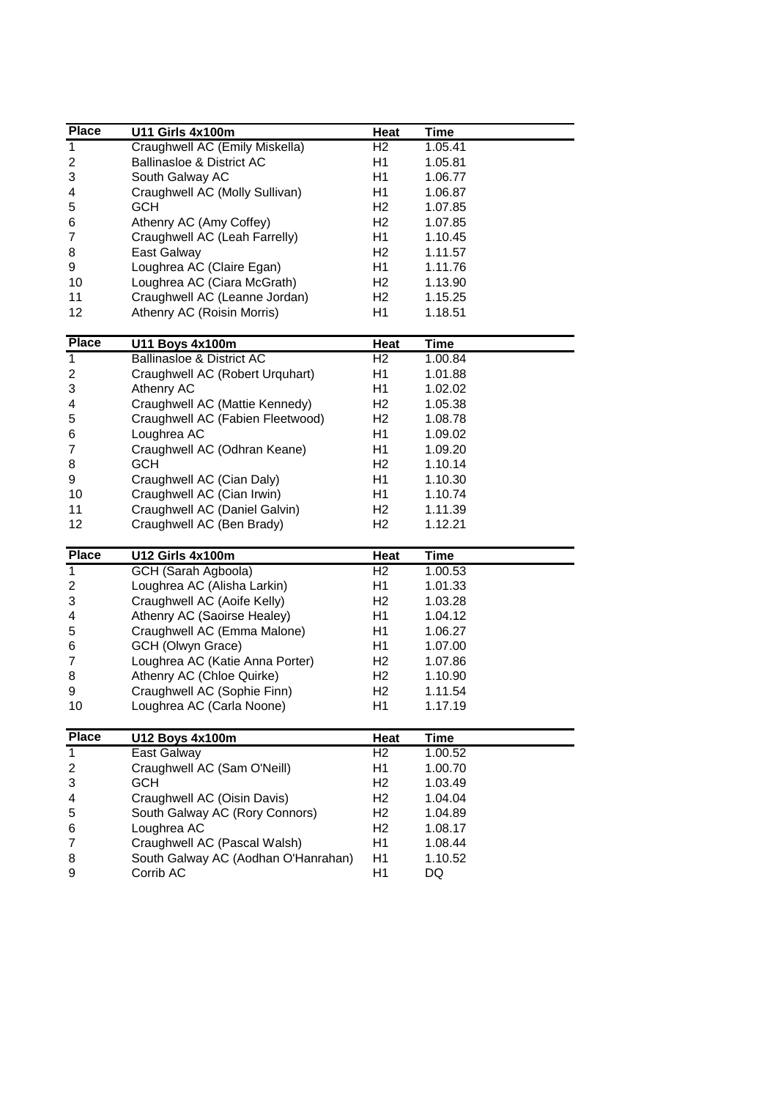| <b>Place</b>                   | U11 Girls 4x100m                                                    | <b>Heat</b>            | <b>Time</b>            |
|--------------------------------|---------------------------------------------------------------------|------------------------|------------------------|
| $\mathbf 1$                    | Craughwell AC (Emily Miskella)                                      | H <sub>2</sub>         | 1.05.41                |
| 2                              | <b>Ballinasloe &amp; District AC</b>                                | H1                     | 1.05.81                |
| 3                              | South Galway AC                                                     | H1                     | 1.06.77                |
| 4                              | Craughwell AC (Molly Sullivan)                                      | H1                     | 1.06.87                |
| 5                              | <b>GCH</b>                                                          | H <sub>2</sub>         | 1.07.85                |
| 6                              | Athenry AC (Amy Coffey)                                             | H <sub>2</sub>         | 1.07.85                |
| 7                              | Craughwell AC (Leah Farrelly)                                       | H1                     | 1.10.45                |
| 8                              | East Galway                                                         | H <sub>2</sub>         | 1.11.57                |
| 9                              | Loughrea AC (Claire Egan)                                           | H <sub>1</sub>         | 1.11.76                |
| 10                             | Loughrea AC (Ciara McGrath)                                         | H <sub>2</sub>         | 1.13.90                |
| 11                             | Craughwell AC (Leanne Jordan)                                       | H <sub>2</sub>         | 1.15.25                |
| 12                             | Athenry AC (Roisin Morris)                                          | H1                     | 1.18.51                |
|                                |                                                                     |                        |                        |
| <b>Place</b>                   | <b>U11 Boys 4x100m</b>                                              | Heat                   | <b>Time</b>            |
| $\overline{1}$                 | <b>Ballinasloe &amp; District AC</b>                                | H <sub>2</sub>         | 1.00.84                |
| 2                              | Craughwell AC (Robert Urquhart)                                     | H1                     | 1.01.88                |
| 3                              | Athenry AC                                                          | H1                     | 1.02.02                |
| 4                              | Craughwell AC (Mattie Kennedy)                                      | H <sub>2</sub>         | 1.05.38                |
| 5                              | Craughwell AC (Fabien Fleetwood)                                    | H <sub>2</sub>         | 1.08.78                |
| 6                              | Loughrea AC                                                         | H1                     | 1.09.02                |
| 7                              | Craughwell AC (Odhran Keane)                                        | H1                     |                        |
|                                | <b>GCH</b>                                                          | H <sub>2</sub>         | 1.09.20                |
| 8                              |                                                                     |                        | 1.10.14                |
| 9                              | Craughwell AC (Cian Daly)                                           | H1                     | 1.10.30                |
| 10                             | Craughwell AC (Cian Irwin)                                          | H <sub>1</sub>         | 1.10.74                |
| 11                             | Craughwell AC (Daniel Galvin)                                       | H <sub>2</sub>         | 1.11.39                |
| 12                             | Craughwell AC (Ben Brady)                                           | H <sub>2</sub>         | 1.12.21                |
| <b>Place</b>                   | <b>U12 Girls 4x100m</b>                                             | Heat                   | <b>Time</b>            |
| $\overline{1}$                 | GCH (Sarah Agboola)                                                 | H <sub>2</sub>         | 1.00.53                |
| $\overline{\mathbf{c}}$        | Loughrea AC (Alisha Larkin)                                         | H1                     | 1.01.33                |
| 3                              | Craughwell AC (Aoife Kelly)                                         | H <sub>2</sub>         | 1.03.28                |
| 4                              | Athenry AC (Saoirse Healey)                                         |                        |                        |
| 5                              |                                                                     |                        |                        |
| 6                              |                                                                     | H1                     | 1.04.12                |
|                                | Craughwell AC (Emma Malone)                                         | H1                     | 1.06.27                |
|                                | GCH (Olwyn Grace)                                                   | H1                     | 1.07.00                |
| 7                              | Loughrea AC (Katie Anna Porter)                                     | H <sub>2</sub>         | 1.07.86                |
| 8                              | Athenry AC (Chloe Quirke)                                           | H <sub>2</sub>         | 1.10.90                |
|                                | Craughwell AC (Sophie Finn)                                         | H <sub>2</sub>         | 1.11.54                |
| 9<br>10                        | Loughrea AC (Carla Noone)                                           | H1                     | 1.17.19                |
|                                |                                                                     |                        |                        |
| <b>Place</b><br>$\overline{1}$ | <b>U12 Boys 4x100m</b><br><b>East Galway</b>                        | Heat<br>H <sub>2</sub> | <b>Time</b><br>1.00.52 |
|                                | Craughwell AC (Sam O'Neill)                                         | H1                     | 1.00.70                |
| 2                              | <b>GCH</b>                                                          | H <sub>2</sub>         |                        |
| 3<br>4                         |                                                                     |                        | 1.03.49                |
|                                | Craughwell AC (Oisin Davis)                                         | H <sub>2</sub>         | 1.04.04                |
| 5                              | South Galway AC (Rory Connors)                                      | H <sub>2</sub>         | 1.04.89                |
| 6                              | Loughrea AC                                                         | H <sub>2</sub>         | 1.08.17                |
| 7<br>8                         | Craughwell AC (Pascal Walsh)<br>South Galway AC (Aodhan O'Hanrahan) | H1<br>H1               | 1.08.44<br>1.10.52     |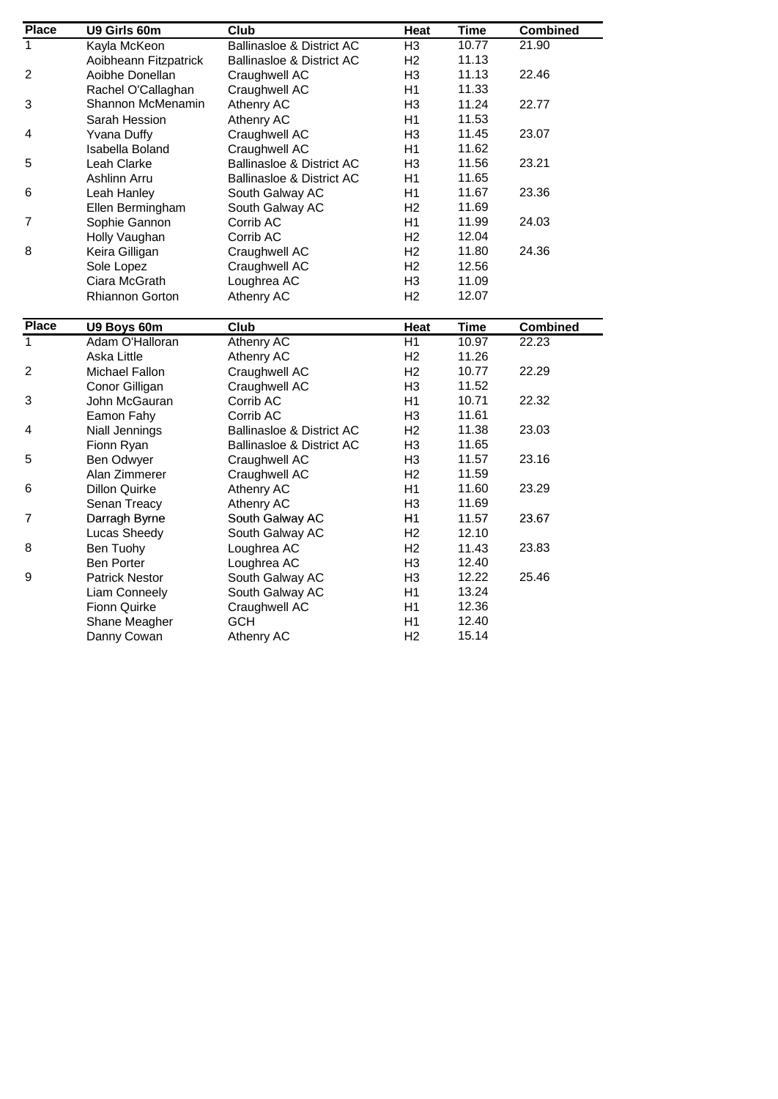| <b>Place</b>   | U9 Girls 60m                  | Club                                 | Heat                 | <b>Time</b> | <b>Combined</b> |
|----------------|-------------------------------|--------------------------------------|----------------------|-------------|-----------------|
| 1              | Kayla McKeon                  | <b>Ballinasloe &amp; District AC</b> | H <sub>3</sub>       | 10.77       | 21.90           |
|                | Aoibheann Fitzpatrick         | <b>Ballinasloe &amp; District AC</b> | H <sub>2</sub>       | 11.13       |                 |
| $\overline{2}$ | Aoibhe Donellan               | Craughwell AC                        | H <sub>3</sub>       | 11.13       | 22.46           |
|                | Rachel O'Callaghan            | Craughwell AC                        | H1                   | 11.33       |                 |
| 3              | Shannon McMenamin             | Athenry AC                           | H <sub>3</sub>       | 11.24       | 22.77           |
|                | Sarah Hession                 | Athenry AC                           | H1                   | 11.53       |                 |
| 4              | <b>Yvana Duffy</b>            | Craughwell AC                        | H <sub>3</sub>       | 11.45       | 23.07           |
|                | Isabella Boland               | Craughwell AC                        | H1                   | 11.62       |                 |
| 5              | Leah Clarke                   | <b>Ballinasloe &amp; District AC</b> | H <sub>3</sub>       | 11.56       | 23.21           |
|                | Ashlinn Arru                  | <b>Ballinasloe &amp; District AC</b> | H1                   | 11.65       |                 |
| 6              | Leah Hanley                   | South Galway AC                      | H1                   | 11.67       | 23.36           |
|                | Ellen Bermingham              | South Galway AC                      | H <sub>2</sub>       | 11.69       |                 |
| 7              | Sophie Gannon                 | Corrib AC                            | H1                   | 11.99       | 24.03           |
|                | Holly Vaughan                 | Corrib AC                            | H <sub>2</sub>       | 12.04       |                 |
| 8              | Keira Gilligan                | Craughwell AC                        | H <sub>2</sub>       | 11.80       | 24.36           |
|                | Sole Lopez                    | Craughwell AC                        | H <sub>2</sub>       | 12.56       |                 |
|                | Ciara McGrath                 | Loughrea AC                          | H <sub>3</sub>       | 11.09       |                 |
|                | Rhiannon Gorton               | Athenry AC                           | H <sub>2</sub>       | 12.07       |                 |
|                |                               |                                      |                      |             |                 |
| <b>Place</b>   | U9 Boys 60m                   | Club                                 | Heat                 | <b>Time</b> | <b>Combined</b> |
| $\overline{1}$ | Adam O'Halloran               | <b>Athenry AC</b>                    | H1                   | 10.97       | 22.23           |
|                | Aska Little                   | Athenry AC                           | H <sub>2</sub>       | 11.26       |                 |
| $\overline{c}$ | Michael Fallon                | Craughwell AC                        | H <sub>2</sub>       | 10.77       | 22.29           |
|                | Conor Gilligan                | Craughwell AC                        | H <sub>3</sub>       | 11.52       |                 |
| 3              | John McGauran                 | Corrib AC                            | H1                   | 10.71       | 22.32           |
|                | Eamon Fahy                    | Corrib AC                            | H <sub>3</sub>       | 11.61       |                 |
| 4              | Niall Jennings                | <b>Ballinasloe &amp; District AC</b> | H <sub>2</sub>       | 11.38       | 23.03           |
|                | Fionn Ryan                    | <b>Ballinasloe &amp; District AC</b> | H <sub>3</sub>       | 11.65       |                 |
| 5              | Ben Odwyer                    | Craughwell AC                        | H <sub>3</sub>       | 11.57       | 23.16           |
|                | Alan Zimmerer                 | Craughwell AC                        | H <sub>2</sub>       | 11.59       |                 |
| 6              | <b>Dillon Quirke</b>          | Athenry AC                           | H1                   | 11.60       | 23.29           |
|                | Senan Treacy                  | Athenry AC                           | H <sub>3</sub>       | 11.69       |                 |
| $\overline{7}$ | Darragh Byrne                 | South Galway AC                      | H1                   | 11.57       | 23.67           |
|                | Lucas Sheedy                  | South Galway AC                      | H <sub>2</sub>       | 12.10       |                 |
| 8              | Ben Tuohy                     | Loughrea AC                          | H <sub>2</sub>       | 11.43       | 23.83           |
|                | <b>Ben Porter</b>             | Loughrea AC                          | H <sub>3</sub>       | 12.40       |                 |
| 9              | <b>Patrick Nestor</b>         | South Galway AC                      | H <sub>3</sub>       | 12.22       | 25.46           |
|                | Liam Conneely                 | South Galway AC                      | H1                   | 13.24       |                 |
|                |                               |                                      |                      | 12.36       |                 |
|                |                               |                                      |                      |             |                 |
|                | Fionn Quirke<br>Shane Meagher | Craughwell AC<br><b>GCH</b>          | H <sub>1</sub><br>H1 | 12.40       |                 |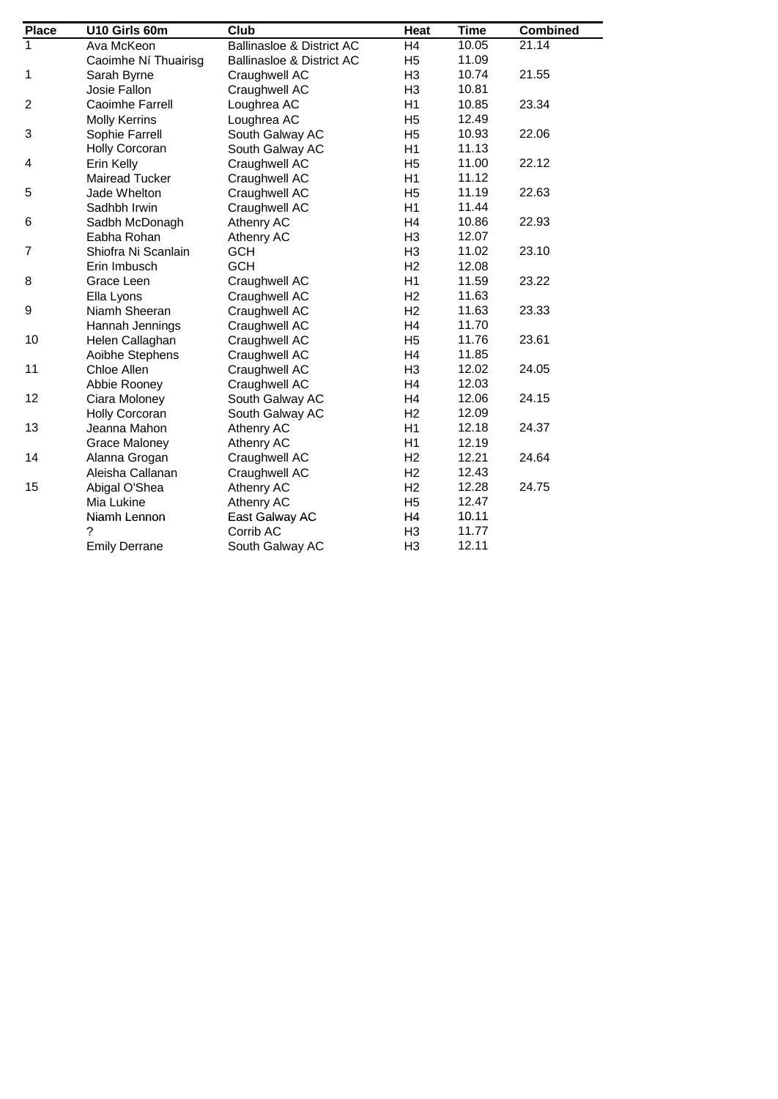| <b>Place</b>   | U10 Girls 60m         | Club                                 | Heat           | <b>Time</b> | <b>Combined</b>    |
|----------------|-----------------------|--------------------------------------|----------------|-------------|--------------------|
| $\mathbf{1}$   | Ava McKeon            | <b>Ballinasloe &amp; District AC</b> | H <sub>4</sub> | 10.05       | $21.\overline{14}$ |
|                | Caoimhe Ní Thuairisg  | <b>Ballinasloe &amp; District AC</b> | H <sub>5</sub> | 11.09       |                    |
| 1              | Sarah Byrne           | Craughwell AC                        | H <sub>3</sub> | 10.74       | 21.55              |
|                | Josie Fallon          | Craughwell AC                        | H <sub>3</sub> | 10.81       |                    |
| $\overline{c}$ | Caoimhe Farrell       | Loughrea AC                          | H1             | 10.85       | 23.34              |
|                | <b>Molly Kerrins</b>  | Loughrea AC                          | H <sub>5</sub> | 12.49       |                    |
| 3              | Sophie Farrell        | South Galway AC                      | H <sub>5</sub> | 10.93       | 22.06              |
|                | <b>Holly Corcoran</b> | South Galway AC                      | H1             | 11.13       |                    |
| 4              | Erin Kelly            | Craughwell AC                        | H <sub>5</sub> | 11.00       | 22.12              |
|                | <b>Mairead Tucker</b> | Craughwell AC                        | H1             | 11.12       |                    |
| 5              | Jade Whelton          | Craughwell AC                        | H <sub>5</sub> | 11.19       | 22.63              |
|                | Sadhbh Irwin          | Craughwell AC                        | H1             | 11.44       |                    |
| 6              | Sadbh McDonagh        | Athenry AC                           | H4             | 10.86       | 22.93              |
|                | Eabha Rohan           | Athenry AC                           | H <sub>3</sub> | 12.07       |                    |
| $\overline{7}$ | Shiofra Ni Scanlain   | <b>GCH</b>                           | H <sub>3</sub> | 11.02       | 23.10              |
|                | Erin Imbusch          | <b>GCH</b>                           | H <sub>2</sub> | 12.08       |                    |
| 8              | Grace Leen            | Craughwell AC                        | H1             | 11.59       | 23.22              |
|                | Ella Lyons            | Craughwell AC                        | H <sub>2</sub> | 11.63       |                    |
| 9              | Niamh Sheeran         | Craughwell AC                        | H <sub>2</sub> | 11.63       | 23.33              |
|                | Hannah Jennings       | Craughwell AC                        | H <sub>4</sub> | 11.70       |                    |
| 10             | Helen Callaghan       | Craughwell AC                        | H <sub>5</sub> | 11.76       | 23.61              |
|                | Aoibhe Stephens       | Craughwell AC                        | H4             | 11.85       |                    |
| 11             | Chloe Allen           | Craughwell AC                        | H <sub>3</sub> | 12.02       | 24.05              |
|                | Abbie Rooney          | Craughwell AC                        | H <sub>4</sub> | 12.03       |                    |
| 12             | Ciara Moloney         | South Galway AC                      | H <sub>4</sub> | 12.06       | 24.15              |
|                | <b>Holly Corcoran</b> | South Galway AC                      | H <sub>2</sub> | 12.09       |                    |
| 13             | Jeanna Mahon          | Athenry AC                           | H1             | 12.18       | 24.37              |
|                | <b>Grace Maloney</b>  | Athenry AC                           | H1             | 12.19       |                    |
| 14             | Alanna Grogan         | Craughwell AC                        | H <sub>2</sub> | 12.21       | 24.64              |
|                | Aleisha Callanan      | Craughwell AC                        | H <sub>2</sub> | 12.43       |                    |
| 15             | Abigal O'Shea         | Athenry AC                           | H <sub>2</sub> | 12.28       | 24.75              |
|                | Mia Lukine            | Athenry AC                           | H <sub>5</sub> | 12.47       |                    |
|                | Niamh Lennon          | East Galway AC                       | H <sub>4</sub> | 10.11       |                    |
|                | ?                     | Corrib AC                            | H <sub>3</sub> | 11.77       |                    |
|                | <b>Emily Derrane</b>  | South Galway AC                      | H <sub>3</sub> | 12.11       |                    |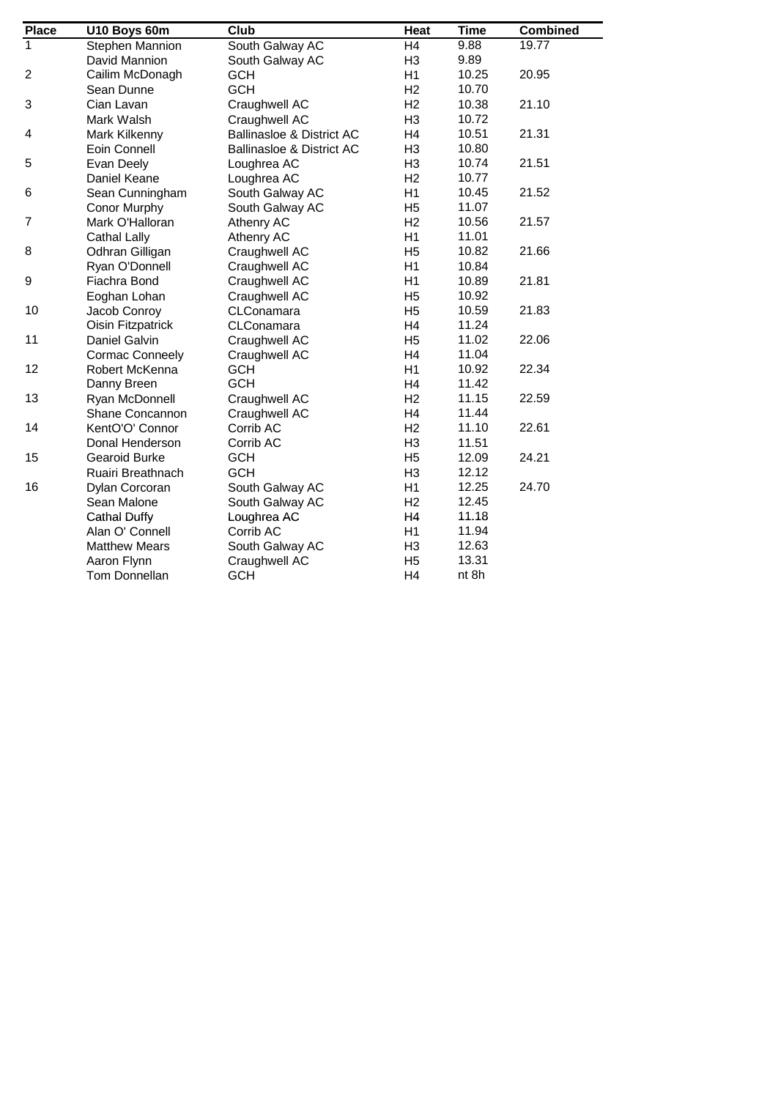| <b>Place</b>            | U10 Boys 60m           | Club                                 | Heat           | <b>Time</b> | <b>Combined</b> |
|-------------------------|------------------------|--------------------------------------|----------------|-------------|-----------------|
| $\mathbf{1}$            | Stephen Mannion        | South Galway AC                      | H4             | 9.88        | 19.77           |
|                         | David Mannion          | South Galway AC                      | H <sub>3</sub> | 9.89        |                 |
| $\overline{c}$          | Cailim McDonagh        | <b>GCH</b>                           | H1             | 10.25       | 20.95           |
|                         | Sean Dunne             | <b>GCH</b>                           | H <sub>2</sub> | 10.70       |                 |
| 3                       | Cian Lavan             | Craughwell AC                        | H <sub>2</sub> | 10.38       | 21.10           |
|                         | Mark Walsh             | Craughwell AC                        | H <sub>3</sub> | 10.72       |                 |
| $\overline{\mathbf{4}}$ | Mark Kilkenny          | <b>Ballinasloe &amp; District AC</b> | H4             | 10.51       | 21.31           |
|                         | Eoin Connell           | <b>Ballinasloe &amp; District AC</b> | H <sub>3</sub> | 10.80       |                 |
| 5                       | Evan Deely             | Loughrea AC                          | H <sub>3</sub> | 10.74       | 21.51           |
|                         | Daniel Keane           | Loughrea AC                          | H2             | 10.77       |                 |
| 6                       | Sean Cunningham        | South Galway AC                      | H1             | 10.45       | 21.52           |
|                         | Conor Murphy           | South Galway AC                      | H <sub>5</sub> | 11.07       |                 |
| $\overline{7}$          | Mark O'Halloran        | Athenry AC                           | H <sub>2</sub> | 10.56       | 21.57           |
|                         | <b>Cathal Lally</b>    | Athenry AC                           | H1             | 11.01       |                 |
| 8                       | Odhran Gilligan        | Craughwell AC                        | H <sub>5</sub> | 10.82       | 21.66           |
|                         | Ryan O'Donnell         | Craughwell AC                        | H1             | 10.84       |                 |
| 9                       | Fiachra Bond           | Craughwell AC                        | H1             | 10.89       | 21.81           |
|                         | Eoghan Lohan           | Craughwell AC                        | H <sub>5</sub> | 10.92       |                 |
| 10                      | Jacob Conroy           | CLConamara                           | H <sub>5</sub> | 10.59       | 21.83           |
|                         | Oisin Fitzpatrick      | CLConamara                           | H <sub>4</sub> | 11.24       |                 |
| 11                      | Daniel Galvin          | Craughwell AC                        | H <sub>5</sub> | 11.02       | 22.06           |
|                         | <b>Cormac Conneely</b> | Craughwell AC                        | H <sub>4</sub> | 11.04       |                 |
| 12                      | Robert McKenna         | <b>GCH</b>                           | H1             | 10.92       | 22.34           |
|                         | Danny Breen            | <b>GCH</b>                           | H <sub>4</sub> | 11.42       |                 |
| 13                      | Ryan McDonnell         | Craughwell AC                        | H <sub>2</sub> | 11.15       | 22.59           |
|                         | Shane Concannon        | Craughwell AC                        | H <sub>4</sub> | 11.44       |                 |
| 14                      | KentO'O' Connor        | Corrib AC                            | H <sub>2</sub> | 11.10       | 22.61           |
|                         | Donal Henderson        | Corrib AC                            | H <sub>3</sub> | 11.51       |                 |
| 15                      | Gearoid Burke          | <b>GCH</b>                           | H <sub>5</sub> | 12.09       | 24.21           |
|                         | Ruairi Breathnach      | <b>GCH</b>                           | H <sub>3</sub> | 12.12       |                 |
| 16                      | Dylan Corcoran         | South Galway AC                      | H1             | 12.25       | 24.70           |
|                         | Sean Malone            | South Galway AC                      | H <sub>2</sub> | 12.45       |                 |
|                         | <b>Cathal Duffy</b>    | Loughrea AC                          | H4             | 11.18       |                 |
|                         | Alan O' Connell        | Corrib AC                            | H1             | 11.94       |                 |
|                         | <b>Matthew Mears</b>   | South Galway AC                      | H <sub>3</sub> | 12.63       |                 |
|                         | Aaron Flynn            | Craughwell AC                        | H <sub>5</sub> | 13.31       |                 |
|                         | Tom Donnellan          | <b>GCH</b>                           | H <sub>4</sub> | nt 8h       |                 |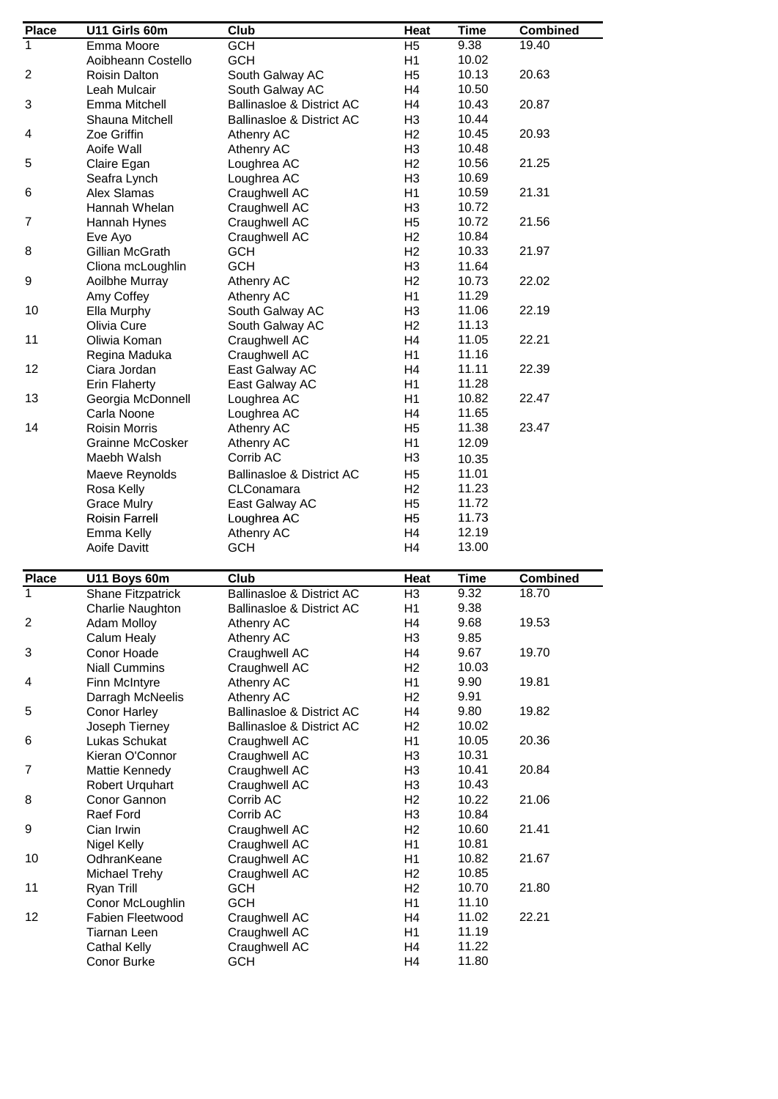| <b>Place</b>   | U11 Girls 60m                      | $C$ lub                              | Heat                             | <b>Time</b>    | <b>Combined</b> |
|----------------|------------------------------------|--------------------------------------|----------------------------------|----------------|-----------------|
| 1              | Emma Moore                         | <b>GCH</b>                           | H <sub>5</sub>                   | 9.38           | 19.40           |
|                | Aoibheann Costello                 | <b>GCH</b>                           | H <sub>1</sub>                   | 10.02          |                 |
| $\overline{2}$ | Roisin Dalton                      | South Galway AC                      | H <sub>5</sub>                   | 10.13          | 20.63           |
|                | Leah Mulcair                       | South Galway AC                      | H <sub>4</sub>                   | 10.50          |                 |
| 3              | Emma Mitchell                      | <b>Ballinasloe &amp; District AC</b> | H4                               | 10.43          | 20.87           |
|                |                                    |                                      |                                  | 10.44          |                 |
|                | Shauna Mitchell                    | <b>Ballinasloe &amp; District AC</b> | H <sub>3</sub>                   |                |                 |
| 4              | Zoe Griffin                        | Athenry AC                           | H <sub>2</sub>                   | 10.45          | 20.93           |
|                | Aoife Wall                         | Athenry AC                           | H <sub>3</sub>                   | 10.48          |                 |
| 5              | Claire Egan                        | Loughrea AC                          | H <sub>2</sub>                   | 10.56          | 21.25           |
|                | Seafra Lynch                       | Loughrea AC                          | H <sub>3</sub>                   | 10.69          |                 |
| 6              | <b>Alex Slamas</b>                 | Craughwell AC                        | H1                               | 10.59          | 21.31           |
|                | Hannah Whelan                      | Craughwell AC                        | H <sub>3</sub>                   | 10.72          |                 |
| 7              | Hannah Hynes                       | Craughwell AC                        | H <sub>5</sub>                   | 10.72          | 21.56           |
|                | Eve Ayo                            | Craughwell AC                        | H <sub>2</sub>                   | 10.84          |                 |
| 8              | Gillian McGrath                    | <b>GCH</b>                           | H <sub>2</sub>                   | 10.33          | 21.97           |
|                | Cliona mcLoughlin                  | <b>GCH</b>                           | H <sub>3</sub>                   | 11.64          |                 |
| 9              | Aoilbhe Murray                     | Athenry AC                           | H <sub>2</sub>                   | 10.73          | 22.02           |
|                | Amy Coffey                         | Athenry AC                           | H <sub>1</sub>                   | 11.29          |                 |
| 10             | Ella Murphy                        | South Galway AC                      | H <sub>3</sub>                   | 11.06          | 22.19           |
|                |                                    |                                      | H <sub>2</sub>                   | 11.13          |                 |
|                | Olivia Cure                        | South Galway AC                      |                                  |                |                 |
| 11             | Oliwia Koman                       | Craughwell AC                        | H <sub>4</sub>                   | 11.05          | 22.21           |
|                | Regina Maduka                      | Craughwell AC                        | H1                               | 11.16          |                 |
| 12             | Ciara Jordan                       | East Galway AC                       | H <sub>4</sub>                   | 11.11          | 22.39           |
|                | Erin Flaherty                      | East Galway AC                       | H1                               | 11.28          |                 |
| 13             | Georgia McDonnell                  | Loughrea AC                          | H1                               | 10.82          | 22.47           |
|                | Carla Noone                        | Loughrea AC                          | H <sub>4</sub>                   | 11.65          |                 |
| 14             | <b>Roisin Morris</b>               | Athenry AC                           | H <sub>5</sub>                   | 11.38          | 23.47           |
|                | Grainne McCosker                   | Athenry AC                           | H1                               | 12.09          |                 |
|                | Maebh Walsh                        | Corrib AC                            | H <sub>3</sub>                   | 10.35          |                 |
|                | Maeve Reynolds                     | <b>Ballinasloe &amp; District AC</b> | H <sub>5</sub>                   | 11.01          |                 |
|                | Rosa Kelly                         | CLConamara                           | H <sub>2</sub>                   | 11.23          |                 |
|                | <b>Grace Mulry</b>                 | East Galway AC                       | H <sub>5</sub>                   | 11.72          |                 |
|                | <b>Roisin Farrell</b>              | Loughrea AC                          | H <sub>5</sub>                   | 11.73          |                 |
|                | Emma Kelly                         | Athenry AC                           | H <sub>4</sub>                   | 12.19          |                 |
|                | <b>Aoife Davitt</b>                | <b>GCH</b>                           | H <sub>4</sub>                   | 13.00          |                 |
|                |                                    |                                      |                                  |                |                 |
| <b>Place</b>   | U11 Boys 60m                       | Club                                 | Heat                             | <b>Time</b>    | <b>Combined</b> |
| 1              | <b>Shane Fitzpatrick</b>           | <b>Ballinasloe &amp; District AC</b> | H <sub>3</sub>                   | 9.32           | 18.70           |
|                | Charlie Naughton                   | <b>Ballinasloe &amp; District AC</b> | H1                               | 9.38           |                 |
| $\overline{c}$ | Adam Molloy                        | Athenry AC                           | H4                               | 9.68           | 19.53           |
|                | Calum Healy                        | Athenry AC                           | H <sub>3</sub>                   | 9.85           |                 |
| 3              | Conor Hoade                        | Craughwell AC                        | H4                               | 9.67           | 19.70           |
|                | <b>Niall Cummins</b>               | Craughwell AC                        | H <sub>2</sub>                   | 10.03          |                 |
| 4              |                                    | Athenry AC                           | H1                               | 9.90           | 19.81           |
|                | Finn McIntyre                      |                                      |                                  |                |                 |
|                | Darragh McNeelis                   | Athenry AC                           | H <sub>2</sub>                   | 9.91           |                 |
| 5              | <b>Conor Harley</b>                | <b>Ballinasloe &amp; District AC</b> | H <sub>4</sub>                   | 9.80           | 19.82           |
|                | Joseph Tierney                     | <b>Ballinasloe &amp; District AC</b> | H <sub>2</sub>                   | 10.02          |                 |
| 6              | Lukas Schukat                      | Craughwell AC                        | H1                               | 10.05          | 20.36           |
|                | Kieran O'Connor                    | Craughwell AC                        | H <sub>3</sub>                   | 10.31          |                 |
| 7              | Mattie Kennedy                     | Craughwell AC                        | H <sub>3</sub>                   | 10.41          | 20.84           |
|                | Robert Urquhart                    | Craughwell AC                        | H <sub>3</sub>                   | 10.43          |                 |
| 8              | Conor Gannon                       | Corrib AC                            | H <sub>2</sub>                   | 10.22          | 21.06           |
|                | Raef Ford                          | Corrib AC                            | H <sub>3</sub>                   | 10.84          |                 |
| 9              | Cian Irwin                         | Craughwell AC                        | H <sub>2</sub>                   | 10.60          | 21.41           |
|                | <b>Nigel Kelly</b>                 | Craughwell AC                        | H1                               | 10.81          |                 |
| 10             | OdhranKeane                        | Craughwell AC                        | H1                               | 10.82          | 21.67           |
|                | Michael Trehy                      | Craughwell AC                        | H <sub>2</sub>                   | 10.85          |                 |
| 11             | Ryan Trill                         | <b>GCH</b>                           | H <sub>2</sub>                   | 10.70          | 21.80           |
|                | Conor McLoughlin                   | <b>GCH</b>                           | H1                               | 11.10          |                 |
| 12             | Fabien Fleetwood                   |                                      | H <sub>4</sub>                   | 11.02          | 22.21           |
|                |                                    | Craughwell AC                        | H1                               | 11.19          |                 |
|                | Tiarnan Leen                       | Craughwell AC                        |                                  |                |                 |
|                | <b>Cathal Kelly</b><br>Conor Burke | Craughwell AC<br><b>GCH</b>          | H <sub>4</sub><br>H <sub>4</sub> | 11.22<br>11.80 |                 |
|                |                                    |                                      |                                  |                |                 |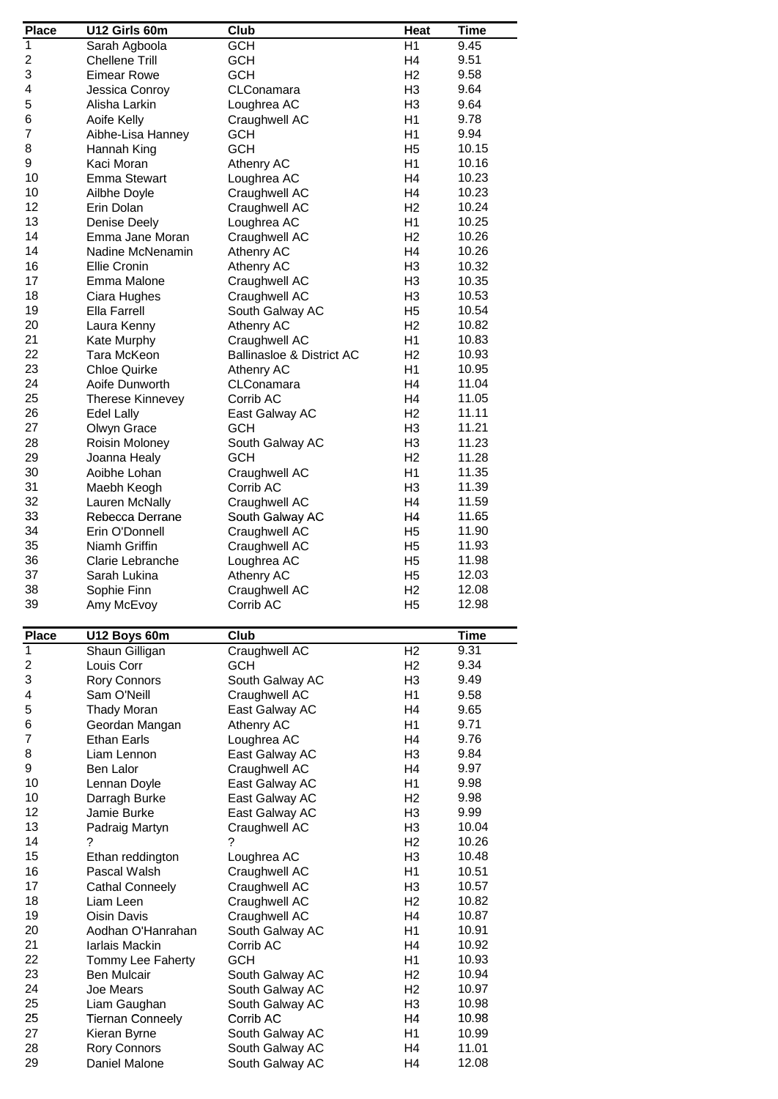| <b>Place</b>   | U12 Girls 60m           | Club                      | <b>Heat</b>    | <b>Time</b> |
|----------------|-------------------------|---------------------------|----------------|-------------|
| $\overline{1}$ | Sarah Agboola           | <b>GCH</b>                | H1             | 9.45        |
|                |                         |                           |                | 9.51        |
| 2              | <b>Chellene Trill</b>   | <b>GCH</b>                | H <sub>4</sub> |             |
| 3              | <b>Eimear Rowe</b>      | <b>GCH</b>                | H <sub>2</sub> | 9.58        |
| 4              | Jessica Conroy          | CLConamara                | H <sub>3</sub> | 9.64        |
| 5              | Alisha Larkin           | Loughrea AC               | H <sub>3</sub> | 9.64        |
| 6              | Aoife Kelly             | Craughwell AC             | H1             | 9.78        |
| $\overline{7}$ | Aibhe-Lisa Hanney       | <b>GCH</b>                | H1             | 9.94        |
|                |                         |                           |                |             |
| 8              | Hannah King             | <b>GCH</b>                | H <sub>5</sub> | 10.15       |
| 9              | Kaci Moran              | Athenry AC                | H <sub>1</sub> | 10.16       |
| 10             | <b>Emma Stewart</b>     | Loughrea AC               | H <sub>4</sub> | 10.23       |
| 10             | Ailbhe Doyle            | Craughwell AC             | H <sub>4</sub> | 10.23       |
| 12             | Erin Dolan              | Craughwell AC             | H <sub>2</sub> | 10.24       |
| 13             |                         |                           |                | 10.25       |
|                | <b>Denise Deely</b>     | Loughrea AC               | H <sub>1</sub> |             |
| 14             | Emma Jane Moran         | Craughwell AC             | H <sub>2</sub> | 10.26       |
| 14             | Nadine McNenamin        | Athenry AC                | H <sub>4</sub> | 10.26       |
| 16             | Ellie Cronin            | Athenry AC                | H <sub>3</sub> | 10.32       |
| 17             | Emma Malone             | Craughwell AC             | H <sub>3</sub> | 10.35       |
| 18             | Ciara Hughes            | Craughwell AC             | H <sub>3</sub> | 10.53       |
|                |                         |                           |                |             |
| 19             | <b>Ella Farrell</b>     | South Galway AC           | H <sub>5</sub> | 10.54       |
| 20             | Laura Kenny             | Athenry AC                | H <sub>2</sub> | 10.82       |
| 21             | Kate Murphy             | Craughwell AC             | H <sub>1</sub> | 10.83       |
| 22             | Tara McKeon             | Ballinasloe & District AC | H <sub>2</sub> | 10.93       |
| 23             | <b>Chloe Quirke</b>     | Athenry AC                | H1             | 10.95       |
|                |                         |                           |                |             |
| 24             | Aoife Dunworth          | CLConamara                | H <sub>4</sub> | 11.04       |
| 25             | <b>Therese Kinnevey</b> | Corrib AC                 | H4             | 11.05       |
| 26             | <b>Edel Lally</b>       | East Galway AC            | H <sub>2</sub> | 11.11       |
| 27             | Olwyn Grace             | <b>GCH</b>                | H <sub>3</sub> | 11.21       |
| 28             | Roisin Moloney          | South Galway AC           | H <sub>3</sub> | 11.23       |
| 29             |                         | <b>GCH</b>                | H <sub>2</sub> | 11.28       |
|                | Joanna Healy            |                           |                |             |
| 30             | Aoibhe Lohan            | Craughwell AC             | H1             | 11.35       |
| 31             | Maebh Keogh             | Corrib AC                 | H <sub>3</sub> | 11.39       |
| 32             | Lauren McNally          | Craughwell AC             | H4             | 11.59       |
| 33             | Rebecca Derrane         | South Galway AC           | H4             | 11.65       |
| 34             | Erin O'Donnell          | Craughwell AC             | H <sub>5</sub> | 11.90       |
|                |                         |                           |                |             |
| 35             | Niamh Griffin           | Craughwell AC             | H <sub>5</sub> | 11.93       |
| 36             | Clarie Lebranche        | Loughrea AC               | H <sub>5</sub> | 11.98       |
| 37             | Sarah Lukina            | Athenry AC                | H <sub>5</sub> | 12.03       |
| 38             | Sophie Finn             | Craughwell AC             | H <sub>2</sub> | 12.08       |
| 39             | Amy McEvoy              | Corrib AC                 | H <sub>5</sub> | 12.98       |
| <b>Place</b>   | U12 Boys 60m            | Club                      |                | <b>Time</b> |
| $\overline{1}$ | Shaun Gilligan          | Craughwell AC             | H <sub>2</sub> | 9.31        |
|                |                         |                           |                |             |
| 2              | Louis Corr              | <b>GCH</b>                | H <sub>2</sub> | 9.34        |
| 3              | <b>Rory Connors</b>     | South Galway AC           | H <sub>3</sub> | 9.49        |
| 4              | Sam O'Neill             | Craughwell AC             | H <sub>1</sub> | 9.58        |
| 5              | <b>Thady Moran</b>      | East Galway AC            | H4             | 9.65        |
| 6              | Geordan Mangan          | Athenry AC                | H1             | 9.71        |
| $\overline{7}$ | <b>Ethan Earls</b>      |                           | H <sub>4</sub> | 9.76        |
|                |                         | Loughrea AC               |                |             |
| 8              | Liam Lennon             | East Galway AC            | H <sub>3</sub> | 9.84        |
| 9              | Ben Lalor               | Craughwell AC             | H <sub>4</sub> | 9.97        |
| 10             | Lennan Doyle            | East Galway AC            | H1             | 9.98        |
| 10             | Darragh Burke           | East Galway AC            | H <sub>2</sub> | 9.98        |
| 12             | Jamie Burke             | East Galway AC            | H <sub>3</sub> | 9.99        |
|                |                         |                           |                |             |
| 13             | Padraig Martyn          | Craughwell AC             | H <sub>3</sub> | 10.04       |
| 14             | ?                       | ?                         | H <sub>2</sub> | 10.26       |
| 15             | Ethan reddington        | Loughrea AC               | H <sub>3</sub> | 10.48       |
| 16             | Pascal Walsh            | Craughwell AC             | H1             | 10.51       |
| 17             | Cathal Conneely         | Craughwell AC             | H <sub>3</sub> | 10.57       |
|                |                         |                           |                |             |
| 18             | Liam Leen               | Craughwell AC             | H <sub>2</sub> | 10.82       |
| 19             | Oisin Davis             | Craughwell AC             | H4             | 10.87       |
| 20             | Aodhan O'Hanrahan       | South Galway AC           | H <sub>1</sub> | 10.91       |
| 21             | Iarlais Mackin          | Corrib AC                 | H4             | 10.92       |
| 22             | Tommy Lee Faherty       | <b>GCH</b>                | H1             | 10.93       |
|                |                         |                           |                |             |
| 23             | <b>Ben Mulcair</b>      | South Galway AC           | H <sub>2</sub> | 10.94       |
| 24             | Joe Mears               | South Galway AC           | H <sub>2</sub> | 10.97       |
| 25             | Liam Gaughan            | South Galway AC           | H <sub>3</sub> | 10.98       |
| 25             | <b>Tiernan Conneely</b> | Corrib AC                 | H <sub>4</sub> | 10.98       |
| 27             | Kieran Byrne            | South Galway AC           | H1             | 10.99       |
| 28             | <b>Rory Connors</b>     | South Galway AC           |                | 11.01       |
|                |                         |                           | H4             |             |
| 29             | Daniel Malone           | South Galway AC           | H4             | 12.08       |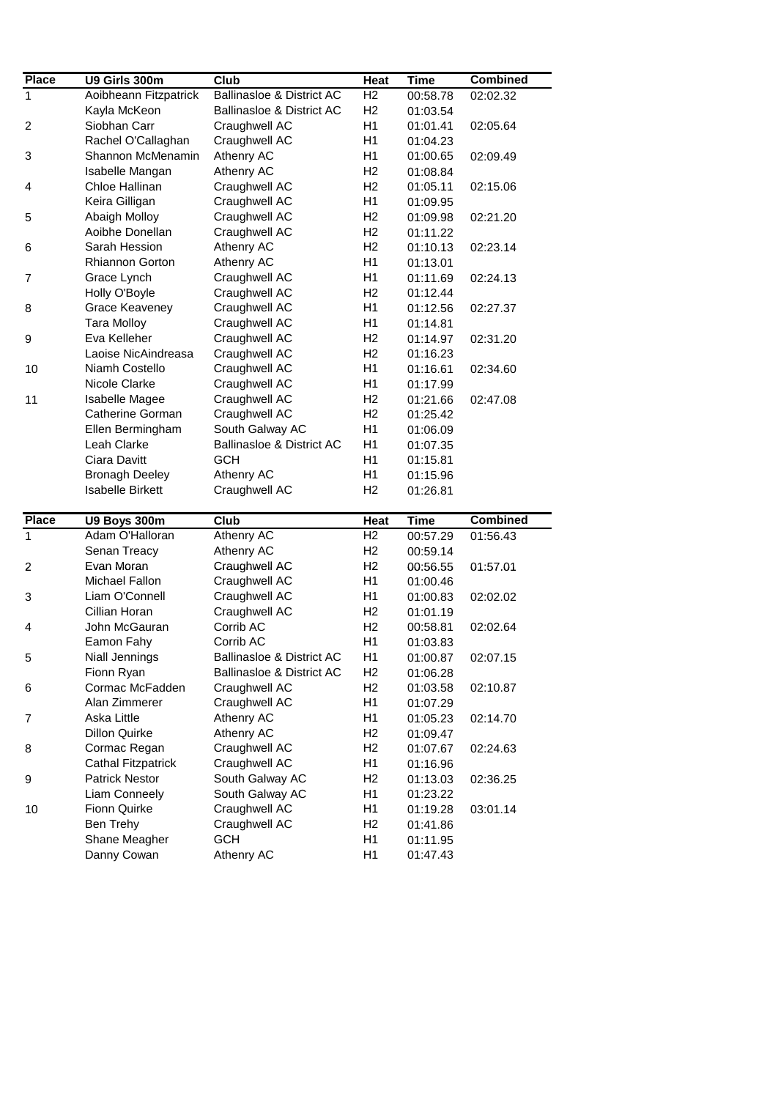| <b>Place</b>                                                                            | U9 Girls 300m             | Club                                 | Heat           | <b>Time</b> | <b>Combined</b> |
|-----------------------------------------------------------------------------------------|---------------------------|--------------------------------------|----------------|-------------|-----------------|
| $\mathbf{1}$                                                                            | Aoibheann Fitzpatrick     | <b>Ballinasloe &amp; District AC</b> | H <sub>2</sub> | 00:58.78    | 02:02.32        |
|                                                                                         | Kayla McKeon              | <b>Ballinasloe &amp; District AC</b> | H <sub>2</sub> | 01:03.54    |                 |
| $\overline{c}$                                                                          | Siobhan Carr              | Craughwell AC                        | H1             | 01:01.41    | 02:05.64        |
|                                                                                         | Rachel O'Callaghan        | Craughwell AC                        | H1             | 01:04.23    |                 |
| 3                                                                                       | Shannon McMenamin         | Athenry AC                           | H1             | 01:00.65    | 02:09.49        |
|                                                                                         | Isabelle Mangan           | Athenry AC                           | H <sub>2</sub> | 01:08.84    |                 |
| 4                                                                                       | Chloe Hallinan            | Craughwell AC                        | H <sub>2</sub> | 01:05.11    | 02:15.06        |
|                                                                                         | Keira Gilligan            | Craughwell AC                        | H1             | 01:09.95    |                 |
| 5                                                                                       | Abaigh Molloy             | Craughwell AC                        | H <sub>2</sub> | 01:09.98    | 02:21.20        |
|                                                                                         | Aoibhe Donellan           | Craughwell AC                        | H <sub>2</sub> | 01:11.22    |                 |
| 6                                                                                       | Sarah Hession             | Athenry AC                           | H <sub>2</sub> | 01:10.13    | 02:23.14        |
|                                                                                         | Rhiannon Gorton           | Athenry AC                           | H1             | 01:13.01    |                 |
| 7                                                                                       | Grace Lynch               | Craughwell AC                        | H1             |             | 02:24.13        |
|                                                                                         |                           |                                      |                | 01:11.69    |                 |
|                                                                                         | Holly O'Boyle             | Craughwell AC                        | H <sub>2</sub> | 01:12.44    |                 |
| 8                                                                                       | <b>Grace Keaveney</b>     | Craughwell AC                        | H1             | 01:12.56    | 02:27.37        |
|                                                                                         | <b>Tara Molloy</b>        | Craughwell AC                        | H1             | 01:14.81    |                 |
| 9                                                                                       | Eva Kelleher              | Craughwell AC                        | H <sub>2</sub> | 01:14.97    | 02:31.20        |
|                                                                                         | Laoise NicAindreasa       | Craughwell AC                        | H <sub>2</sub> | 01:16.23    |                 |
| 10                                                                                      | Niamh Costello            | Craughwell AC                        | H1             | 01:16.61    | 02:34.60        |
|                                                                                         | Nicole Clarke             | Craughwell AC                        | H1             | 01:17.99    |                 |
| 11                                                                                      | Isabelle Magee            | Craughwell AC                        | H <sub>2</sub> | 01:21.66    | 02:47.08        |
|                                                                                         | <b>Catherine Gorman</b>   | Craughwell AC                        | H <sub>2</sub> | 01:25.42    |                 |
|                                                                                         | Ellen Bermingham          | South Galway AC                      | H1             | 01:06.09    |                 |
|                                                                                         | Leah Clarke               | Ballinasloe & District AC            | H1             | 01:07.35    |                 |
|                                                                                         | Ciara Davitt              | <b>GCH</b>                           | H1             | 01:15.81    |                 |
|                                                                                         | <b>Bronagh Deeley</b>     | Athenry AC                           | H1             | 01:15.96    |                 |
|                                                                                         | <b>Isabelle Birkett</b>   | Craughwell AC                        | H <sub>2</sub> | 01:26.81    |                 |
|                                                                                         |                           |                                      |                |             |                 |
|                                                                                         |                           |                                      |                |             |                 |
|                                                                                         | U9 Boys 300m              | Club                                 | Heat           | <b>Time</b> | <b>Combined</b> |
|                                                                                         | Adam O'Halloran           | <b>Athenry AC</b>                    | H <sub>2</sub> | 00:57.29    | 01:56.43        |
|                                                                                         | Senan Treacy              | Athenry AC                           | H <sub>2</sub> | 00:59.14    |                 |
|                                                                                         | Evan Moran                | Craughwell AC                        | H <sub>2</sub> | 00:56.55    | 01:57.01        |
|                                                                                         | Michael Fallon            | Craughwell AC                        | H1             | 01:00.46    |                 |
|                                                                                         | Liam O'Connell            | Craughwell AC                        | H1             | 01:00.83    | 02:02.02        |
|                                                                                         | Cillian Horan             | Craughwell AC                        | H <sub>2</sub> | 01:01.19    |                 |
|                                                                                         | John McGauran             | Corrib AC                            | H <sub>2</sub> | 00:58.81    | 02:02.64        |
|                                                                                         | Eamon Fahy                | Corrib AC                            | H1             | 01:03.83    |                 |
|                                                                                         | <b>Niall Jennings</b>     | <b>Ballinasloe &amp; District AC</b> | H1             | 01:00.87    | 02:07.15        |
|                                                                                         | Fionn Ryan                | <b>Ballinasloe &amp; District AC</b> | H <sub>2</sub> | 01:06.28    |                 |
|                                                                                         | Cormac McFadden           | Craughwell AC                        | H2             | 01:03.58    | 02:10.87        |
|                                                                                         | Alan Zimmerer             | Craughwell AC                        | H1             | 01:07.29    |                 |
|                                                                                         | Aska Little               | Athenry AC                           | H1             | 01:05.23    | 02:14.70        |
|                                                                                         | Dillon Quirke             | Athenry AC                           | H <sub>2</sub> | 01:09.47    |                 |
|                                                                                         | Cormac Regan              | Craughwell AC                        | H <sub>2</sub> | 01:07.67    | 02:24.63        |
|                                                                                         | <b>Cathal Fitzpatrick</b> | Craughwell AC                        | H1             | 01:16.96    |                 |
|                                                                                         | <b>Patrick Nestor</b>     | South Galway AC                      | H <sub>2</sub> |             |                 |
|                                                                                         |                           |                                      | H1             | 01:13.03    | 02:36.25        |
|                                                                                         | Liam Conneely             | South Galway AC                      |                | 01:23.22    |                 |
|                                                                                         | <b>Fionn Quirke</b>       | Craughwell AC                        | H1             | 01:19.28    | 03:01.14        |
|                                                                                         | Ben Trehy                 | Craughwell AC                        | H <sub>2</sub> | 01:41.86    |                 |
| <b>Place</b><br>$\mathbf{1}$<br>$\overline{c}$<br>3<br>4<br>5<br>6<br>7<br>8<br>9<br>10 | Shane Meagher             | <b>GCH</b>                           | H1             | 01:11.95    |                 |
|                                                                                         | Danny Cowan               | Athenry AC                           | H1             | 01:47.43    |                 |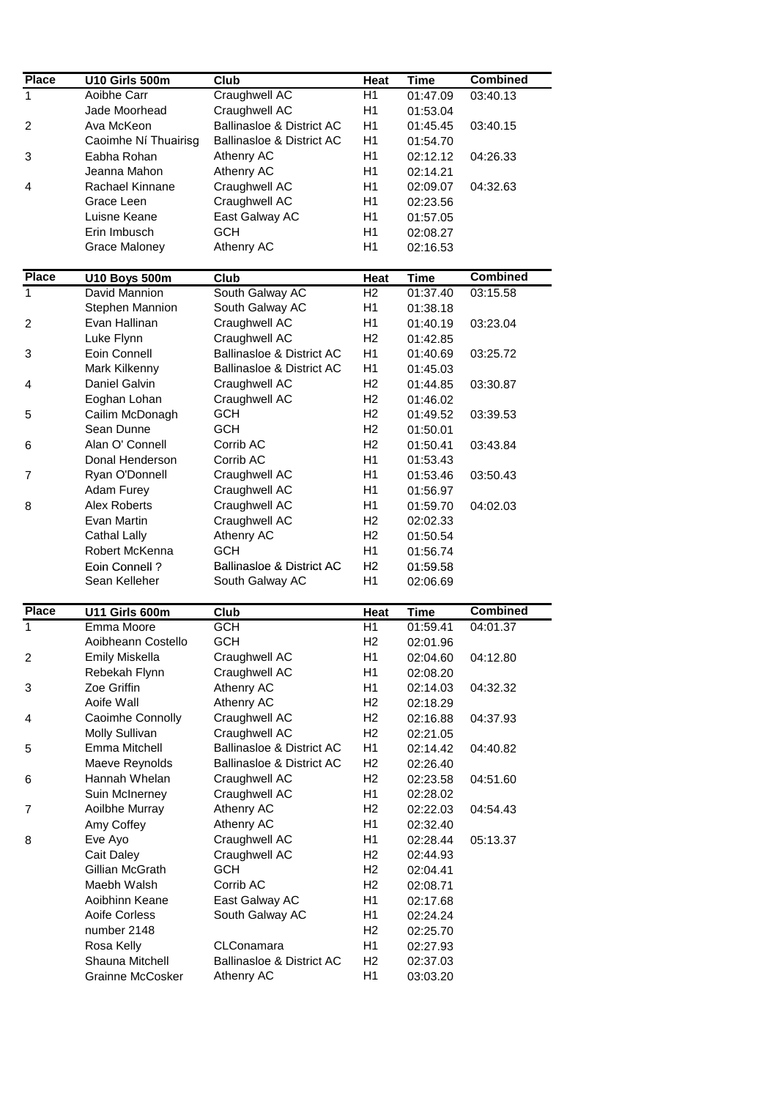| <b>Place</b>   | U10 Girls 500m                        | <b>Club</b>                          | Heat                   | <b>Time</b>             | <b>Combined</b> |
|----------------|---------------------------------------|--------------------------------------|------------------------|-------------------------|-----------------|
| 1              | Aoibhe Carr                           | <b>Craughwell AC</b>                 | H1                     | 01:47.09                | 03:40.13        |
|                | Jade Moorhead                         | Craughwell AC                        | H1                     | 01:53.04                |                 |
| $\overline{c}$ | Ava McKeon                            | <b>Ballinasloe &amp; District AC</b> | H1                     | 01:45.45                | 03:40.15        |
|                | Caoimhe Ní Thuairisg                  | Ballinasloe & District AC            | H1                     | 01:54.70                |                 |
| 3              | Eabha Rohan                           | Athenry AC                           | H1                     | 02:12.12                | 04:26.33        |
|                | Jeanna Mahon                          |                                      |                        |                         |                 |
|                |                                       | Athenry AC                           | H1                     | 02:14.21                |                 |
| 4              | Rachael Kinnane                       | Craughwell AC                        | H1                     | 02:09.07                | 04:32.63        |
|                | Grace Leen                            | Craughwell AC                        | H1                     | 02:23.56                |                 |
|                | Luisne Keane                          | East Galway AC                       | H1                     | 01:57.05                |                 |
|                | Erin Imbusch                          | <b>GCH</b>                           | H1                     | 02:08.27                |                 |
|                | <b>Grace Maloney</b>                  | Athenry AC                           | H1                     | 02:16.53                |                 |
| <b>Place</b>   |                                       |                                      |                        |                         | <b>Combined</b> |
| $\mathbf{1}$   | <b>U10 Boys 500m</b><br>David Mannion | Club<br>South Galway AC              | Heat<br>H <sub>2</sub> | <b>Time</b><br>01:37.40 | 03:15.58        |
|                | Stephen Mannion                       | South Galway AC                      | H1                     |                         |                 |
|                |                                       |                                      |                        | 01:38.18                |                 |
| $\overline{c}$ | Evan Hallinan                         | Craughwell AC                        | H1                     | 01:40.19                | 03:23.04        |
|                | Luke Flynn                            | Craughwell AC                        | H <sub>2</sub>         | 01:42.85                |                 |
| 3              | Eoin Connell                          | <b>Ballinasloe &amp; District AC</b> | H1                     | 01:40.69                | 03:25.72        |
|                | Mark Kilkenny                         | <b>Ballinasloe &amp; District AC</b> | H1                     | 01:45.03                |                 |
| 4              | Daniel Galvin                         | Craughwell AC                        | H <sub>2</sub>         | 01:44.85                | 03:30.87        |
|                | Eoghan Lohan                          | Craughwell AC                        | H <sub>2</sub>         | 01:46.02                |                 |
| 5              | Cailim McDonagh                       | <b>GCH</b>                           | H <sub>2</sub>         | 01:49.52                | 03:39.53        |
|                | Sean Dunne                            | <b>GCH</b>                           | H <sub>2</sub>         | 01:50.01                |                 |
| 6              | Alan O' Connell                       | Corrib AC                            | H <sub>2</sub>         | 01:50.41                | 03:43.84        |
|                | Donal Henderson                       | Corrib AC                            | H1                     | 01:53.43                |                 |
| 7              | Ryan O'Donnell                        | Craughwell AC                        | H1                     | 01:53.46                | 03:50.43        |
|                | Adam Furey                            | Craughwell AC                        | H1                     | 01:56.97                |                 |
| 8              | Alex Roberts                          | Craughwell AC                        | H1                     | 01:59.70                | 04:02.03        |
|                | Evan Martin                           | Craughwell AC                        | H <sub>2</sub>         |                         |                 |
|                |                                       |                                      |                        | 02:02.33                |                 |
|                | <b>Cathal Lally</b>                   | Athenry AC                           | H <sub>2</sub>         | 01:50.54                |                 |
|                | Robert McKenna                        | <b>GCH</b>                           | H1                     | 01:56.74                |                 |
|                | <b>Eoin Connell?</b>                  | <b>Ballinasloe &amp; District AC</b> | H <sub>2</sub>         | 01:59.58                |                 |
|                | Sean Kelleher                         | South Galway AC                      | H1                     | 02:06.69                |                 |
| <b>Place</b>   | U11 Girls 600m                        | Club                                 | Heat                   | <b>Time</b>             | <b>Combined</b> |
| $\mathbf{1}$   | Emma Moore                            | <b>GCH</b>                           | H1                     | 01:59.41                | 04:01.37        |
|                | Aoibheann Costello                    | GCH                                  | H <sub>2</sub>         | 02:01.96                |                 |
| 2              | Emily Miskella                        | Craughwell AC                        | H1                     | 02:04.60                | 04:12.80        |
|                | Rebekah Flynn                         | Craughwell AC                        | H1                     | 02:08.20                |                 |
| 3              | Zoe Griffin                           | Athenry AC                           | H1                     | 02:14.03                | 04:32.32        |
|                | Aoife Wall                            | Athenry AC                           | H <sub>2</sub>         |                         |                 |
|                |                                       |                                      |                        | 02:18.29                |                 |
| 4              | Caoimhe Connolly                      | Craughwell AC                        | H <sub>2</sub>         | 02:16.88                | 04:37.93        |
|                | Molly Sullivan                        | Craughwell AC                        | H <sub>2</sub>         | 02:21.05                |                 |
| 5              | Emma Mitchell                         | <b>Ballinasloe &amp; District AC</b> | H1                     | 02:14.42                | 04:40.82        |
|                | Maeve Reynolds                        | <b>Ballinasloe &amp; District AC</b> | H <sub>2</sub>         | 02:26.40                |                 |
| 6              | Hannah Whelan                         | Craughwell AC                        | H <sub>2</sub>         | 02:23.58                | 04:51.60        |
|                | Suin McInerney                        | Craughwell AC                        | H1                     | 02:28.02                |                 |
| 7              | Aoilbhe Murray                        | Athenry AC                           | H <sub>2</sub>         | 02:22.03                | 04:54.43        |
|                | Amy Coffey                            | Athenry AC                           | H1                     | 02:32.40                |                 |
| 8              | Eve Ayo                               | Craughwell AC                        | H1                     | 02:28.44                | 05:13.37        |
|                | Cait Daley                            | Craughwell AC                        | H <sub>2</sub>         | 02:44.93                |                 |
|                | Gillian McGrath                       | <b>GCH</b>                           | H <sub>2</sub>         | 02:04.41                |                 |
|                | Maebh Walsh                           | Corrib AC                            | H <sub>2</sub>         | 02:08.71                |                 |
|                | Aoibhinn Keane                        | East Galway AC                       | H1                     | 02:17.68                |                 |
|                | Aoife Corless                         |                                      | H1                     |                         |                 |
|                |                                       | South Galway AC                      |                        | 02:24.24                |                 |
|                | number 2148                           |                                      | H <sub>2</sub>         | 02:25.70                |                 |
|                | Rosa Kelly                            | CLConamara                           | H1                     | 02:27.93                |                 |
|                | Shauna Mitchell                       | <b>Ballinasloe &amp; District AC</b> | H <sub>2</sub>         | 02:37.03                |                 |
|                | Grainne McCosker                      | Athenry AC                           | H1                     | 03:03.20                |                 |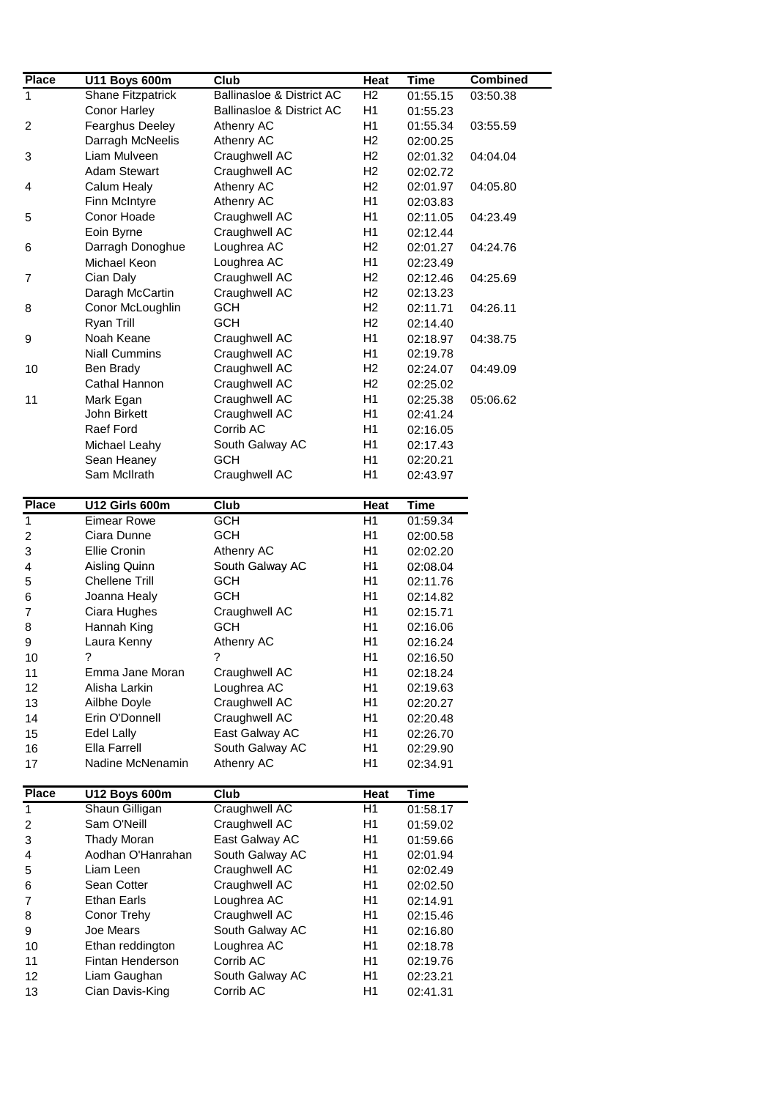| <b>Place</b>   | <b>U11 Boys 600m</b> | Club                                 | Heat           | <b>Time</b> | <b>Combined</b> |
|----------------|----------------------|--------------------------------------|----------------|-------------|-----------------|
| 1              | Shane Fitzpatrick    | <b>Ballinasloe &amp; District AC</b> | H <sub>2</sub> | 01:55.15    | 03:50.38        |
|                | Conor Harley         | <b>Ballinasloe &amp; District AC</b> | H1             | 01:55.23    |                 |
| 2              | Fearghus Deeley      | Athenry AC                           | H1             | 01:55.34    | 03:55.59        |
|                | Darragh McNeelis     | Athenry AC                           | H <sub>2</sub> | 02:00.25    |                 |
| 3              | Liam Mulveen         | Craughwell AC                        | H <sub>2</sub> | 02:01.32    | 04:04.04        |
|                | <b>Adam Stewart</b>  | Craughwell AC                        | H <sub>2</sub> | 02:02.72    |                 |
| 4              | Calum Healy          | Athenry AC                           | H <sub>2</sub> | 02:01.97    | 04:05.80        |
|                | Finn McIntyre        | Athenry AC                           | H1             | 02:03.83    |                 |
|                | Conor Hoade          | Craughwell AC                        | H1             |             | 04:23.49        |
| 5              |                      |                                      | H1             | 02:11.05    |                 |
|                | Eoin Byrne           | Craughwell AC                        |                | 02:12.44    |                 |
| 6              | Darragh Donoghue     | Loughrea AC                          | H <sub>2</sub> | 02:01.27    | 04:24.76        |
|                | Michael Keon         | Loughrea AC                          | H1             | 02:23.49    |                 |
| 7              | Cian Daly            | Craughwell AC                        | H2             | 02:12.46    | 04:25.69        |
|                | Daragh McCartin      | Craughwell AC                        | H2             | 02:13.23    |                 |
| 8              | Conor McLoughlin     | <b>GCH</b>                           | H <sub>2</sub> | 02:11.71    | 04:26.11        |
|                | Ryan Trill           | <b>GCH</b>                           | H <sub>2</sub> | 02:14.40    |                 |
| 9              | Noah Keane           | Craughwell AC                        | H1             | 02:18.97    | 04:38.75        |
|                | <b>Niall Cummins</b> | Craughwell AC                        | H1             | 02:19.78    |                 |
| 10             | Ben Brady            | Craughwell AC                        | H <sub>2</sub> | 02:24.07    | 04:49.09        |
|                | Cathal Hannon        | Craughwell AC                        | H <sub>2</sub> | 02:25.02    |                 |
| 11             | Mark Egan            | Craughwell AC                        | H1             | 02:25.38    | 05:06.62        |
|                | John Birkett         | Craughwell AC                        | H1             | 02:41.24    |                 |
|                | Raef Ford            | Corrib AC                            | H1             | 02:16.05    |                 |
|                | Michael Leahy        | South Galway AC                      | H1             | 02:17.43    |                 |
|                | Sean Heaney          | <b>GCH</b>                           | H1             | 02:20.21    |                 |
|                | Sam McIlrath         | Craughwell AC                        | H1             |             |                 |
|                |                      |                                      |                | 02:43.97    |                 |
| <b>Place</b>   | U12 Girls 600m       | Club                                 | Heat           | <b>Time</b> |                 |
| $\mathbf{1}$   | <b>Eimear Rowe</b>   | <b>GCH</b>                           | H1             | 01:59.34    |                 |
| $\overline{2}$ | Ciara Dunne          | <b>GCH</b>                           | H1             | 02:00.58    |                 |
| 3              | Ellie Cronin         | Athenry AC                           | H1             | 02:02.20    |                 |
| 4              | Aisling Quinn        | South Galway AC                      | Η1             | 02:08.04    |                 |
| 5              | Chellene Trill       | <b>GCH</b>                           | H1             | 02:11.76    |                 |
| 6              | Joanna Healy         | <b>GCH</b>                           | H1             | 02:14.82    |                 |
| $\overline{7}$ | Ciara Hughes         | Craughwell AC                        | H1             | 02:15.71    |                 |
|                | Hannah King          | <b>GCH</b>                           | H1             |             |                 |
| 8              |                      |                                      |                | 02:16.06    |                 |
| 9              | Laura Kenny          | Athenry AC                           | H1             | 02:16.24    |                 |
| 10             | ?                    | ?                                    | H1             | 02:16.50    |                 |
| 11             | Emma Jane Moran      | Craughwell AC                        | H1             | 02:18.24    |                 |
| 12             | Alisha Larkin        | Loughrea AC                          | H1             | 02:19.63    |                 |
| 13             | Ailbhe Doyle         | Craughwell AC                        | H1             | 02:20.27    |                 |
| 14             | Erin O'Donnell       | Craughwell AC                        | H1             | 02:20.48    |                 |
| 15             | Edel Lally           | East Galway AC                       | H1             | 02:26.70    |                 |
| 16             | Ella Farrell         | South Galway AC                      | H1             | 02:29.90    |                 |
| 17             | Nadine McNenamin     | Athenry AC                           | H1             | 02:34.91    |                 |
|                |                      |                                      |                |             |                 |
| <b>Place</b>   | <b>U12 Boys 600m</b> | Club                                 | Heat           | <b>Time</b> |                 |
| $\mathbf{1}$   | Shaun Gilligan       | Craughwell AC                        | H1             | 01:58.17    |                 |
| $\overline{c}$ | Sam O'Neill          | Craughwell AC                        | H1             | 01:59.02    |                 |
| 3              | <b>Thady Moran</b>   | East Galway AC                       | H1             | 01:59.66    |                 |
| 4              | Aodhan O'Hanrahan    | South Galway AC                      | H1             | 02:01.94    |                 |
| 5              | Liam Leen            | Craughwell AC                        | H1             | 02:02.49    |                 |
| 6              | Sean Cotter          | Craughwell AC                        | H1             | 02:02.50    |                 |
| $\overline{7}$ | Ethan Earls          | Loughrea AC                          | H1             | 02:14.91    |                 |
| 8              | Conor Trehy          | Craughwell AC                        | H1             | 02:15.46    |                 |
| 9              | Joe Mears            | South Galway AC                      | H1             | 02:16.80    |                 |
| 10             | Ethan reddington     | Loughrea AC                          | H1             | 02:18.78    |                 |
| 11             | Fintan Henderson     | Corrib AC                            | H1             | 02:19.76    |                 |
| 12             | Liam Gaughan         | South Galway AC                      | H1             | 02:23.21    |                 |
| 13             | Cian Davis-King      | Corrib AC                            | H1             |             |                 |
|                |                      |                                      |                | 02:41.31    |                 |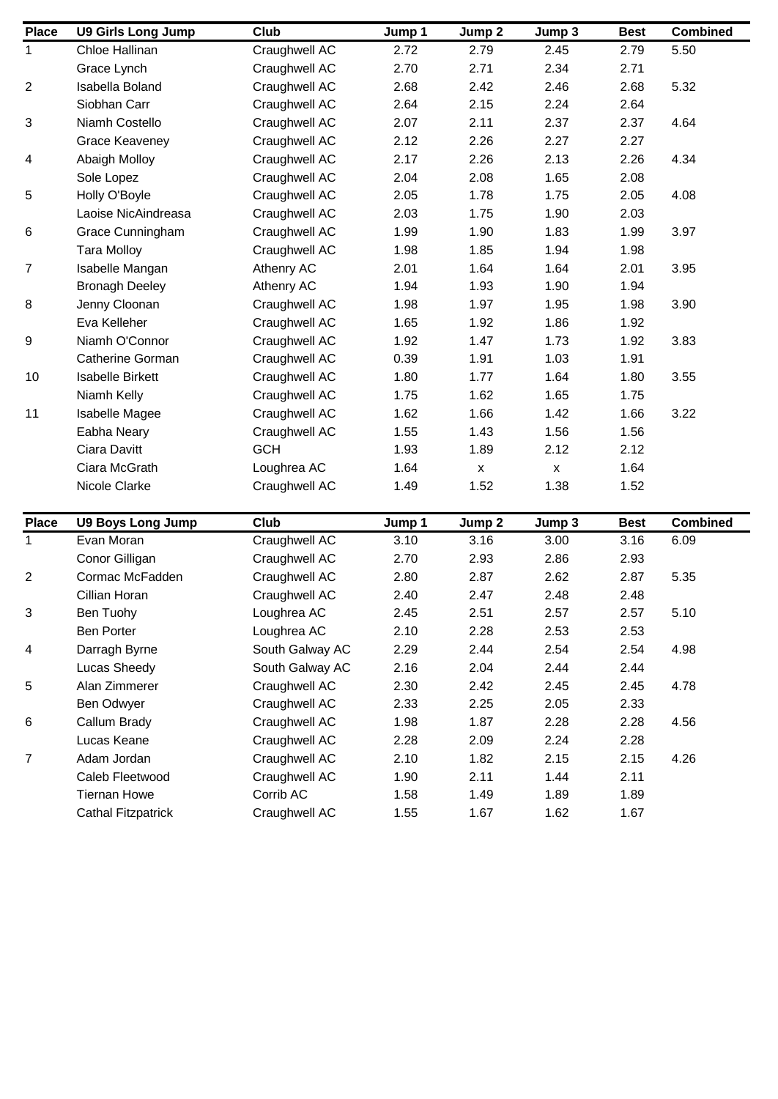| <b>Place</b> | <b>U9 Girls Long Jump</b>              | Club                       | Jump 1       | Jump 2             | Jump 3             | <b>Best</b>  | <b>Combined</b> |
|--------------|----------------------------------------|----------------------------|--------------|--------------------|--------------------|--------------|-----------------|
| $\mathbf{1}$ | Chloe Hallinan                         | Craughwell AC              | 2.72         | 2.79               | 2.45               | 2.79         | 5.50            |
|              | Grace Lynch                            | Craughwell AC              | 2.70         | 2.71               | 2.34               | 2.71         |                 |
| 2            | Isabella Boland                        | Craughwell AC              | 2.68         | 2.42               | 2.46               | 2.68         | 5.32            |
|              | Siobhan Carr                           | Craughwell AC              | 2.64         | 2.15               | 2.24               | 2.64         |                 |
| 3            | Niamh Costello                         | Craughwell AC              | 2.07         | 2.11               | 2.37               | 2.37         | 4.64            |
|              | Grace Keaveney                         | Craughwell AC              | 2.12         | 2.26               | 2.27               | 2.27         |                 |
| 4            | <b>Abaigh Molloy</b>                   | Craughwell AC              | 2.17         | 2.26               | 2.13               | 2.26         | 4.34            |
|              | Sole Lopez                             | Craughwell AC              | 2.04         | 2.08               | 1.65               | 2.08         |                 |
| 5            | Holly O'Boyle                          | Craughwell AC              | 2.05         | 1.78               | 1.75               | 2.05         | 4.08            |
|              | Laoise NicAindreasa                    | Craughwell AC              | 2.03         | 1.75               | 1.90               | 2.03         |                 |
| 6            | Grace Cunningham                       | Craughwell AC              | 1.99         | 1.90               | 1.83               | 1.99         | 3.97            |
|              | <b>Tara Molloy</b>                     | Craughwell AC              | 1.98         | 1.85               | 1.94               | 1.98         |                 |
| 7            | Isabelle Mangan                        | Athenry AC                 | 2.01         | 1.64               | 1.64               | 2.01         | 3.95            |
|              | <b>Bronagh Deeley</b>                  | Athenry AC                 | 1.94         | 1.93               | 1.90               | 1.94         |                 |
| 8            | Jenny Cloonan                          | Craughwell AC              | 1.98         | 1.97               | 1.95               | 1.98         | 3.90            |
|              | Eva Kelleher                           | Craughwell AC              | 1.65         | 1.92               | 1.86               | 1.92         |                 |
| 9            | Niamh O'Connor                         | Craughwell AC              | 1.92         | 1.47               | 1.73               | 1.92         | 3.83            |
|              | <b>Catherine Gorman</b>                | Craughwell AC              | 0.39         | 1.91               | 1.03               | 1.91         |                 |
| 10           | <b>Isabelle Birkett</b>                | Craughwell AC              | 1.80         | 1.77               | 1.64               | 1.80         | 3.55            |
|              | Niamh Kelly                            | Craughwell AC              | 1.75         | 1.62               | 1.65               | 1.75         |                 |
| 11           | Isabelle Magee                         | Craughwell AC              | 1.62         | 1.66               | 1.42               | 1.66         | 3.22            |
|              | Eabha Neary                            | Craughwell AC              | 1.55         | 1.43               | 1.56               | 1.56         |                 |
|              | Ciara Davitt                           | <b>GCH</b>                 | 1.93         | 1.89               | 2.12               | 2.12         |                 |
|              | Ciara McGrath                          | Loughrea AC                | 1.64         | $\pmb{\mathsf{X}}$ | $\pmb{\mathsf{X}}$ | 1.64         |                 |
|              | Nicole Clarke                          | Craughwell AC              | 1.49         | 1.52               | 1.38               | 1.52         |                 |
|              |                                        |                            |              |                    |                    |              |                 |
| <b>Place</b> | <b>U9 Boys Long Jump</b>               | Club                       | Jump 1       | Jump 2             | Jump 3             | <b>Best</b>  | <b>Combined</b> |
| $\mathbf{1}$ | Evan Moran                             | Craughwell AC              | 3.10         | 3.16               | 3.00               | 3.16         | 6.09            |
|              | Conor Gilligan                         | Craughwell AC              | 2.70         | 2.93               | 2.86               | 2.93         |                 |
| 2            | Cormac McFadden                        | Craughwell AC              | 2.80         | 2.87               | 2.62               | 2.87         | 5.35            |
|              | Cillian Horan                          | Craughwell AC              | 2.40         | 2.47               | 2.48               | 2.48         |                 |
| 3            | Ben Tuohy                              | Loughrea AC                | 2.45         | 2.51               | 2.57               | 2.57         | 5.10            |
|              | <b>Ben Porter</b>                      | Loughrea AC                | 2.10         | 2.28               | 2.53               | 2.53         |                 |
| 4            | Darragh Byrne                          | South Galway AC            | 2.29         | 2.44               | 2.54               | 2.54         | 4.98            |
|              | Lucas Sheedy                           | South Galway AC            | 2.16         | 2.04               | 2.44               | 2.44         |                 |
| 5            | Alan Zimmerer                          | Craughwell AC              | 2.30         | 2.42               | 2.45               | 2.45         | 4.78            |
|              | Ben Odwyer                             | Craughwell AC              | 2.33         | 2.25               | 2.05               | 2.33         |                 |
|              |                                        |                            |              |                    |                    |              |                 |
|              | Callum Brady                           | Craughwell AC              | 1.98         | 1.87               | 2.28               | 2.28         | 4.56            |
|              | Lucas Keane                            | Craughwell AC              | 2.28         | 2.09               | 2.24               | 2.28         |                 |
|              | Adam Jordan                            |                            | 2.10         | 1.82               | 2.15               | 2.15         | 4.26            |
|              |                                        | Craughwell AC              |              |                    |                    |              |                 |
| 6<br>7       | Caleb Fleetwood<br><b>Tiernan Howe</b> | Craughwell AC<br>Corrib AC | 1.90<br>1.58 | 2.11<br>1.49       | 1.44<br>1.89       | 2.11<br>1.89 |                 |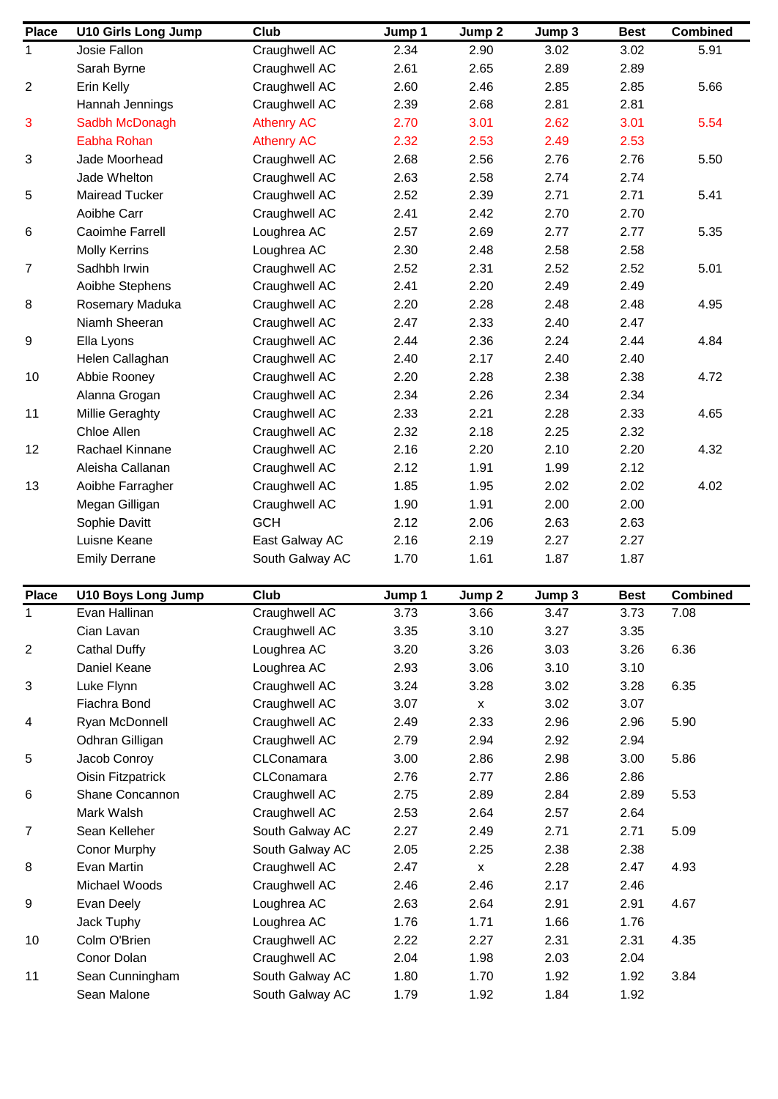| <b>Place</b>            | <b>U10 Girls Long Jump</b> | Club              | Jump 1 | Jump 2             | Jump 3 | <b>Best</b> | <b>Combined</b> |
|-------------------------|----------------------------|-------------------|--------|--------------------|--------|-------------|-----------------|
| 1                       | Josie Fallon               | Craughwell AC     | 2.34   | 2.90               | 3.02   | 3.02        | 5.91            |
|                         | Sarah Byrne                | Craughwell AC     | 2.61   | 2.65               | 2.89   | 2.89        |                 |
| $\overline{\mathbf{c}}$ | Erin Kelly                 | Craughwell AC     | 2.60   | 2.46               | 2.85   | 2.85        | 5.66            |
|                         | Hannah Jennings            | Craughwell AC     | 2.39   | 2.68               | 2.81   | 2.81        |                 |
| 3                       | Sadbh McDonagh             | <b>Athenry AC</b> | 2.70   | 3.01               | 2.62   | 3.01        | 5.54            |
|                         | Eabha Rohan                | <b>Athenry AC</b> | 2.32   | 2.53               | 2.49   | 2.53        |                 |
| 3                       | Jade Moorhead              | Craughwell AC     | 2.68   | 2.56               | 2.76   | 2.76        | 5.50            |
|                         | Jade Whelton               | Craughwell AC     | 2.63   | 2.58               | 2.74   | 2.74        |                 |
| 5                       | <b>Mairead Tucker</b>      | Craughwell AC     | 2.52   | 2.39               | 2.71   | 2.71        | 5.41            |
|                         | Aoibhe Carr                | Craughwell AC     | 2.41   | 2.42               | 2.70   | 2.70        |                 |
| 6                       | Caoimhe Farrell            | Loughrea AC       | 2.57   | 2.69               | 2.77   | 2.77        | 5.35            |
|                         | <b>Molly Kerrins</b>       | Loughrea AC       | 2.30   | 2.48               | 2.58   | 2.58        |                 |
| 7                       | Sadhbh Irwin               | Craughwell AC     | 2.52   | 2.31               | 2.52   | 2.52        | 5.01            |
|                         | Aoibhe Stephens            | Craughwell AC     | 2.41   | 2.20               | 2.49   | 2.49        |                 |
| 8                       | Rosemary Maduka            | Craughwell AC     | 2.20   | 2.28               | 2.48   | 2.48        | 4.95            |
|                         | Niamh Sheeran              | Craughwell AC     | 2.47   | 2.33               | 2.40   | 2.47        |                 |
| 9                       | Ella Lyons                 | Craughwell AC     | 2.44   | 2.36               | 2.24   | 2.44        | 4.84            |
|                         | Helen Callaghan            | Craughwell AC     | 2.40   | 2.17               | 2.40   | 2.40        |                 |
| 10                      | Abbie Rooney               | Craughwell AC     | 2.20   | 2.28               | 2.38   | 2.38        | 4.72            |
|                         | Alanna Grogan              | Craughwell AC     | 2.34   | 2.26               | 2.34   | 2.34        |                 |
| 11                      | Millie Geraghty            | Craughwell AC     | 2.33   | 2.21               | 2.28   | 2.33        | 4.65            |
|                         | Chloe Allen                | Craughwell AC     | 2.32   | 2.18               | 2.25   | 2.32        |                 |
| 12                      | Rachael Kinnane            | Craughwell AC     | 2.16   | 2.20               | 2.10   | 2.20        | 4.32            |
|                         | Aleisha Callanan           | Craughwell AC     | 2.12   | 1.91               | 1.99   | 2.12        |                 |
| 13                      | Aoibhe Farragher           | Craughwell AC     | 1.85   | 1.95               | 2.02   | 2.02        | 4.02            |
|                         | Megan Gilligan             | Craughwell AC     | 1.90   | 1.91               | 2.00   | 2.00        |                 |
|                         | Sophie Davitt              | <b>GCH</b>        | 2.12   | 2.06               | 2.63   | 2.63        |                 |
|                         | Luisne Keane               | East Galway AC    | 2.16   | 2.19               | 2.27   | 2.27        |                 |
|                         | <b>Emily Derrane</b>       | South Galway AC   | 1.70   | 1.61               | 1.87   | 1.87        |                 |
|                         |                            |                   |        |                    |        |             |                 |
| <b>Place</b>            | <b>U10 Boys Long Jump</b>  | Club              | Jump 1 | Jump 2             | Jump 3 | <b>Best</b> | <b>Combined</b> |
| 1                       | Evan Hallinan              | Craughwell AC     | 3.73   | 3.66               | 3.47   | 3.73        | 7.08            |
|                         | Cian Lavan                 | Craughwell AC     | 3.35   | 3.10               | 3.27   | 3.35        |                 |
| $\overline{\mathbf{c}}$ | Cathal Duffy               | Loughrea AC       | 3.20   | 3.26               | 3.03   | 3.26        | 6.36            |
|                         | Daniel Keane               | Loughrea AC       | 2.93   | 3.06               | 3.10   | 3.10        |                 |
| 3                       | Luke Flynn                 | Craughwell AC     | 3.24   | 3.28               | 3.02   | 3.28        | 6.35            |
|                         | Fiachra Bond               | Craughwell AC     | 3.07   | $\pmb{\mathsf{X}}$ | 3.02   | 3.07        |                 |
| 4                       | Ryan McDonnell             | Craughwell AC     | 2.49   | 2.33               | 2.96   | 2.96        | 5.90            |
|                         | Odhran Gilligan            | Craughwell AC     | 2.79   | 2.94               | 2.92   | 2.94        |                 |
| 5                       | Jacob Conroy               | CLConamara        | 3.00   | 2.86               | 2.98   | 3.00        | 5.86            |
|                         | <b>Oisin Fitzpatrick</b>   | CLConamara        | 2.76   | 2.77               | 2.86   | 2.86        |                 |
| 6                       | Shane Concannon            | Craughwell AC     | 2.75   | 2.89               | 2.84   | 2.89        | 5.53            |
|                         | Mark Walsh                 | Craughwell AC     | 2.53   | 2.64               | 2.57   | 2.64        |                 |
| $\overline{7}$          | Sean Kelleher              | South Galway AC   | 2.27   | 2.49               | 2.71   | 2.71        | 5.09            |
|                         | <b>Conor Murphy</b>        | South Galway AC   | 2.05   | 2.25               | 2.38   | 2.38        |                 |
| 8                       | Evan Martin                | Craughwell AC     | 2.47   | X                  | 2.28   | 2.47        | 4.93            |
|                         | Michael Woods              | Craughwell AC     | 2.46   | 2.46               | 2.17   | 2.46        |                 |
| 9                       | Evan Deely                 | Loughrea AC       | 2.63   | 2.64               | 2.91   | 2.91        | 4.67            |
|                         | Jack Tuphy                 | Loughrea AC       | 1.76   | 1.71               | 1.66   | 1.76        |                 |
| 10                      | Colm O'Brien               | Craughwell AC     | 2.22   | 2.27               | 2.31   | 2.31        | 4.35            |
|                         | Conor Dolan                | Craughwell AC     | 2.04   | 1.98               | 2.03   | 2.04        |                 |
| 11                      | Sean Cunningham            | South Galway AC   | 1.80   | 1.70               | 1.92   | 1.92        | 3.84            |
|                         | Sean Malone                | South Galway AC   | 1.79   | 1.92               | 1.84   | 1.92        |                 |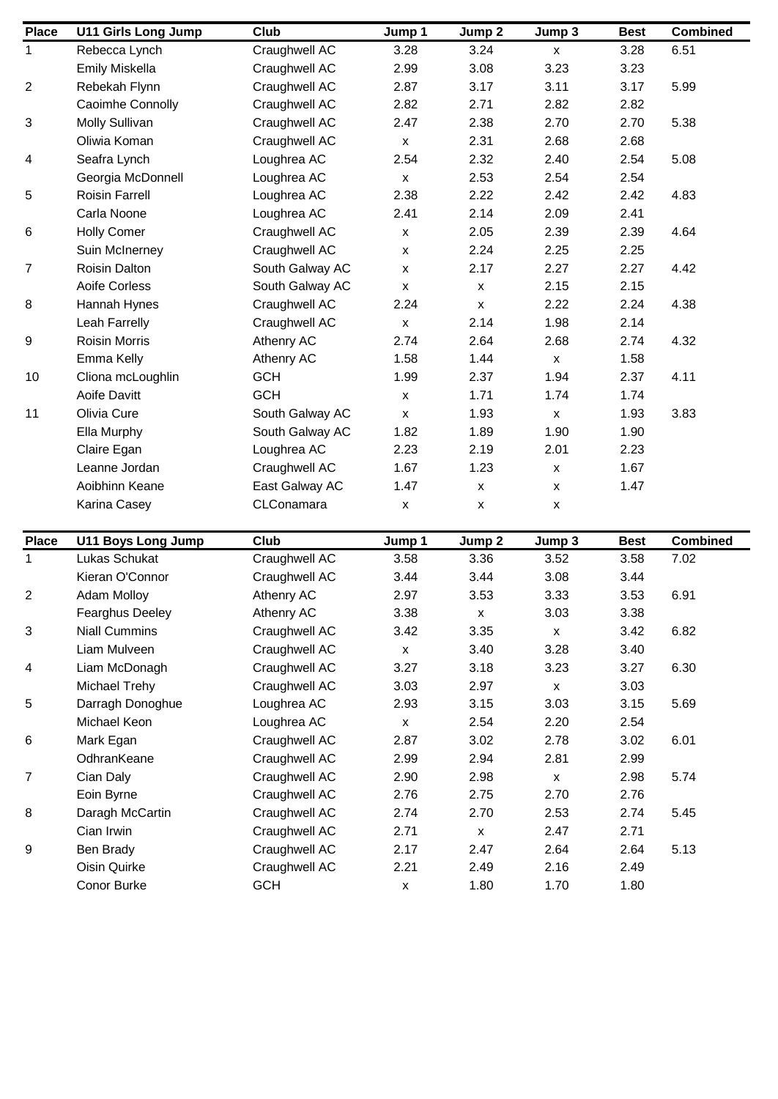| <b>Place</b> | <b>U11 Girls Long Jump</b> | Club            | Jump 1             | Jump 2             | Jump 3             | <b>Best</b> | <b>Combined</b> |
|--------------|----------------------------|-----------------|--------------------|--------------------|--------------------|-------------|-----------------|
| 1            | Rebecca Lynch              | Craughwell AC   | 3.28               | 3.24               | $\pmb{\mathsf{x}}$ | 3.28        | 6.51            |
|              | <b>Emily Miskella</b>      | Craughwell AC   | 2.99               | 3.08               | 3.23               | 3.23        |                 |
| 2            | Rebekah Flynn              | Craughwell AC   | 2.87               | 3.17               | 3.11               | 3.17        | 5.99            |
|              | Caoimhe Connolly           | Craughwell AC   | 2.82               | 2.71               | 2.82               | 2.82        |                 |
| 3            | Molly Sullivan             | Craughwell AC   | 2.47               | 2.38               | 2.70               | 2.70        | 5.38            |
|              | Oliwia Koman               | Craughwell AC   | $\pmb{\mathsf{x}}$ | 2.31               | 2.68               | 2.68        |                 |
| 4            | Seafra Lynch               | Loughrea AC     | 2.54               | 2.32               | 2.40               | 2.54        | 5.08            |
|              | Georgia McDonnell          | Loughrea AC     | $\pmb{\mathsf{x}}$ | 2.53               | 2.54               | 2.54        |                 |
| 5            | <b>Roisin Farrell</b>      | Loughrea AC     | 2.38               | 2.22               | 2.42               | 2.42        | 4.83            |
|              | Carla Noone                | Loughrea AC     | 2.41               | 2.14               | 2.09               | 2.41        |                 |
| 6            | <b>Holly Comer</b>         | Craughwell AC   | $\pmb{\mathsf{X}}$ | 2.05               | 2.39               | 2.39        | 4.64            |
|              | Suin McInerney             | Craughwell AC   | $\pmb{\mathsf{x}}$ | 2.24               | 2.25               | 2.25        |                 |
| 7            | Roisin Dalton              | South Galway AC | $\pmb{\mathsf{x}}$ | 2.17               | 2.27               | 2.27        | 4.42            |
|              | Aoife Corless              | South Galway AC | $\pmb{\mathsf{X}}$ | $\pmb{\mathsf{X}}$ | 2.15               | 2.15        |                 |
| 8            | Hannah Hynes               | Craughwell AC   | 2.24               | $\pmb{\mathsf{x}}$ | 2.22               | 2.24        | 4.38            |
|              | Leah Farrelly              | Craughwell AC   | $\pmb{\mathsf{x}}$ | 2.14               | 1.98               | 2.14        |                 |
| 9            | <b>Roisin Morris</b>       | Athenry AC      | 2.74               | 2.64               | 2.68               | 2.74        | 4.32            |
|              | Emma Kelly                 | Athenry AC      | 1.58               | 1.44               | $\pmb{\mathsf{x}}$ | 1.58        |                 |
| 10           | Cliona mcLoughlin          | <b>GCH</b>      | 1.99               | 2.37               | 1.94               | 2.37        | 4.11            |
|              | Aoife Davitt               | <b>GCH</b>      | $\pmb{\mathsf{X}}$ | 1.71               | 1.74               | 1.74        |                 |
| 11           | Olivia Cure                | South Galway AC | $\pmb{\mathsf{x}}$ | 1.93               | $\pmb{\mathsf{X}}$ | 1.93        | 3.83            |
|              | Ella Murphy                | South Galway AC | 1.82               | 1.89               | 1.90               | 1.90        |                 |
|              | Claire Egan                | Loughrea AC     | 2.23               | 2.19               | 2.01               | 2.23        |                 |
|              | Leanne Jordan              | Craughwell AC   | 1.67               | 1.23               | X                  | 1.67        |                 |
|              | Aoibhinn Keane             | East Galway AC  | 1.47               | $\pmb{\mathsf{X}}$ | X                  | 1.47        |                 |
|              | Karina Casey               | CLConamara      | $\pmb{\mathsf{x}}$ | $\pmb{\mathsf{x}}$ | X                  |             |                 |
|              |                            |                 |                    |                    |                    |             |                 |
| <b>Place</b> | <b>U11 Boys Long Jump</b>  | Club            | Jump 1             | Jump 2             | Jump 3             | <b>Best</b> | <b>Combined</b> |
| $\mathbf{1}$ | Lukas Schukat              | Craughwell AC   | 3.58               | 3.36               | 3.52               | 3.58        | 7.02            |
|              | Kieran O'Connor            | Craughwell AC   | 3.44               | 3.44               | 3.08               | 3.44        |                 |
| 2            | <b>Adam Molloy</b>         | Athenry AC      | 2.97               | 3.53               | 3.33               | 3.53        | 6.91            |
|              | Fearghus Deeley            | Athenry AC      | 3.38               | х                  | 3.03               | 3.38        |                 |
| 3            | <b>Niall Cummins</b>       | Craughwell AC   | 3.42               | 3.35               | $\pmb{\mathsf{x}}$ | 3.42        | 6.82            |
|              | Liam Mulveen               | Craughwell AC   | $\pmb{\mathsf{x}}$ | 3.40               | 3.28               | 3.40        |                 |
| 4            | Liam McDonagh              | Craughwell AC   | 3.27               | 3.18               | 3.23               | 3.27        | 6.30            |
|              | Michael Trehy              | Craughwell AC   | 3.03               | 2.97               | $\pmb{\mathsf{x}}$ | 3.03        |                 |
| 5            | Darragh Donoghue           | Loughrea AC     | 2.93               | 3.15               | 3.03               | 3.15        | 5.69            |
|              | Michael Keon               | Loughrea AC     | $\pmb{\mathsf{X}}$ | 2.54               | 2.20               | 2.54        |                 |
| 6            | Mark Egan                  | Craughwell AC   | 2.87               | 3.02               | 2.78               | 3.02        | 6.01            |
|              | OdhranKeane                | Craughwell AC   | 2.99               | 2.94               | 2.81               | 2.99        |                 |
| 7            | Cian Daly                  | Craughwell AC   | 2.90               | 2.98               | $\pmb{\mathsf{x}}$ | 2.98        | 5.74            |
|              | Eoin Byrne                 | Craughwell AC   | 2.76               | 2.75               | 2.70               | 2.76        |                 |
| 8            | Daragh McCartin            | Craughwell AC   | 2.74               | 2.70               | 2.53               | 2.74        | 5.45            |
|              | Cian Irwin                 | Craughwell AC   | 2.71               | X                  | 2.47               | 2.71        |                 |
| 9            | Ben Brady                  | Craughwell AC   | 2.17               | 2.47               | 2.64               | 2.64        | 5.13            |
|              | Oisin Quirke               | Craughwell AC   | 2.21               | 2.49               | 2.16               | 2.49        |                 |
|              | Conor Burke                | <b>GCH</b>      | $\pmb{\mathsf{x}}$ | 1.80               | 1.70               | 1.80        |                 |
|              |                            |                 |                    |                    |                    |             |                 |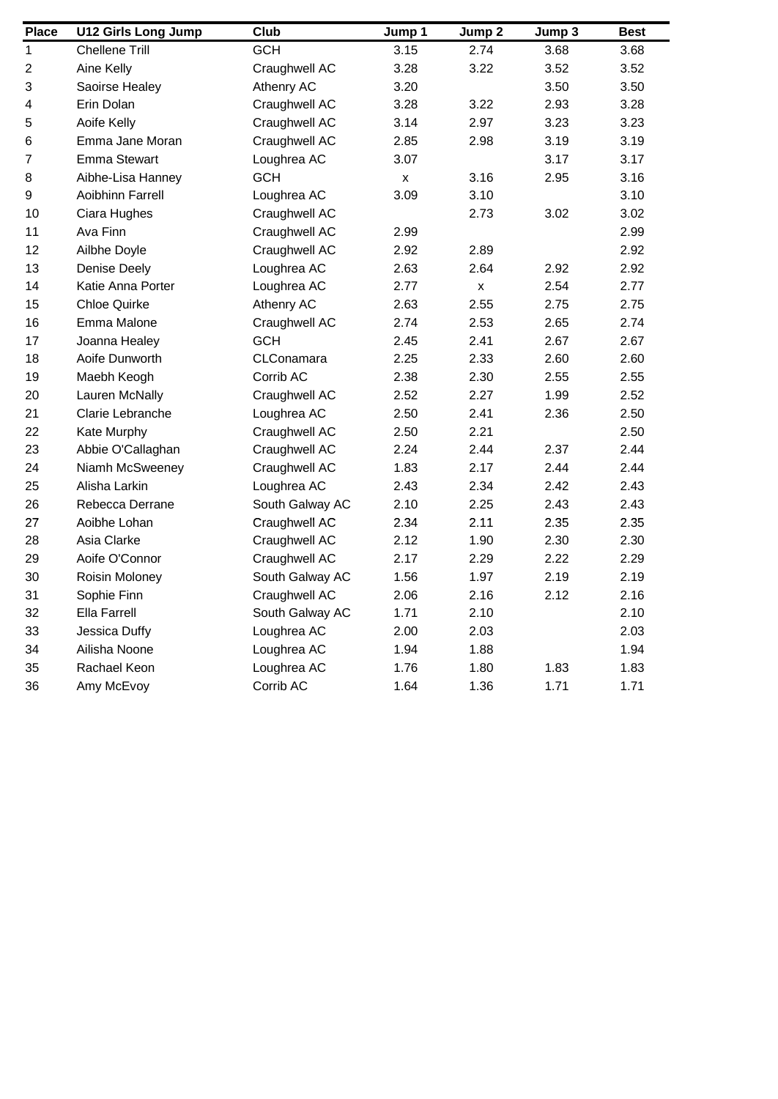| <b>Place</b>     | <b>U12 Girls Long Jump</b> | Club            | Jump 1             | Jump 2 | Jump 3 | <b>Best</b> |
|------------------|----------------------------|-----------------|--------------------|--------|--------|-------------|
| $\mathbf{1}$     | <b>Chellene Trill</b>      | <b>GCH</b>      | 3.15               | 2.74   | 3.68   | 3.68        |
| $\boldsymbol{2}$ | Aine Kelly                 | Craughwell AC   | 3.28               | 3.22   | 3.52   | 3.52        |
| 3                | Saoirse Healey             | Athenry AC      | 3.20               |        | 3.50   | 3.50        |
| 4                | Erin Dolan                 | Craughwell AC   | 3.28               | 3.22   | 2.93   | 3.28        |
| 5                | Aoife Kelly                | Craughwell AC   | 3.14               | 2.97   | 3.23   | 3.23        |
| $\,6$            | Emma Jane Moran            | Craughwell AC   | 2.85               | 2.98   | 3.19   | 3.19        |
| $\overline{7}$   | <b>Emma Stewart</b>        | Loughrea AC     | 3.07               |        | 3.17   | 3.17        |
| 8                | Aibhe-Lisa Hanney          | <b>GCH</b>      | $\pmb{\mathsf{x}}$ | 3.16   | 2.95   | 3.16        |
| 9                | Aoibhinn Farrell           | Loughrea AC     | 3.09               | 3.10   |        | 3.10        |
| 10               | Ciara Hughes               | Craughwell AC   |                    | 2.73   | 3.02   | 3.02        |
| 11               | Ava Finn                   | Craughwell AC   | 2.99               |        |        | 2.99        |
| 12               | Ailbhe Doyle               | Craughwell AC   | 2.92               | 2.89   |        | 2.92        |
| 13               | Denise Deely               | Loughrea AC     | 2.63               | 2.64   | 2.92   | 2.92        |
| 14               | Katie Anna Porter          | Loughrea AC     | 2.77               | X      | 2.54   | 2.77        |
| 15               | <b>Chloe Quirke</b>        | Athenry AC      | 2.63               | 2.55   | 2.75   | 2.75        |
| 16               | Emma Malone                | Craughwell AC   | 2.74               | 2.53   | 2.65   | 2.74        |
| 17               | Joanna Healey              | <b>GCH</b>      | 2.45               | 2.41   | 2.67   | 2.67        |
| 18               | Aoife Dunworth             | CLConamara      | 2.25               | 2.33   | 2.60   | 2.60        |
| 19               | Maebh Keogh                | Corrib AC       | 2.38               | 2.30   | 2.55   | 2.55        |
| 20               | Lauren McNally             | Craughwell AC   | 2.52               | 2.27   | 1.99   | 2.52        |
| 21               | Clarie Lebranche           | Loughrea AC     | 2.50               | 2.41   | 2.36   | 2.50        |
| 22               | Kate Murphy                | Craughwell AC   | 2.50               | 2.21   |        | 2.50        |
| 23               | Abbie O'Callaghan          | Craughwell AC   | 2.24               | 2.44   | 2.37   | 2.44        |
| 24               | Niamh McSweeney            | Craughwell AC   | 1.83               | 2.17   | 2.44   | 2.44        |
| 25               | Alisha Larkin              | Loughrea AC     | 2.43               | 2.34   | 2.42   | 2.43        |
| 26               | Rebecca Derrane            | South Galway AC | 2.10               | 2.25   | 2.43   | 2.43        |
| 27               | Aoibhe Lohan               | Craughwell AC   | 2.34               | 2.11   | 2.35   | 2.35        |
| 28               | Asia Clarke                | Craughwell AC   | 2.12               | 1.90   | 2.30   | 2.30        |
| 29               | Aoife O'Connor             | Craughwell AC   | 2.17               | 2.29   | 2.22   | 2.29        |
| 30               | Roisin Moloney             | South Galway AC | 1.56               | 1.97   | 2.19   | 2.19        |
| 31               | Sophie Finn                | Craughwell AC   | 2.06               | 2.16   | 2.12   | 2.16        |
| 32               | Ella Farrell               | South Galway AC | 1.71               | 2.10   |        | 2.10        |
| 33               | Jessica Duffy              | Loughrea AC     | 2.00               | 2.03   |        | 2.03        |
| 34               | Ailisha Noone              | Loughrea AC     | 1.94               | 1.88   |        | 1.94        |
| 35               | Rachael Keon               | Loughrea AC     | 1.76               | 1.80   | 1.83   | 1.83        |
| 36               | Amy McEvoy                 | Corrib AC       | 1.64               | 1.36   | 1.71   | 1.71        |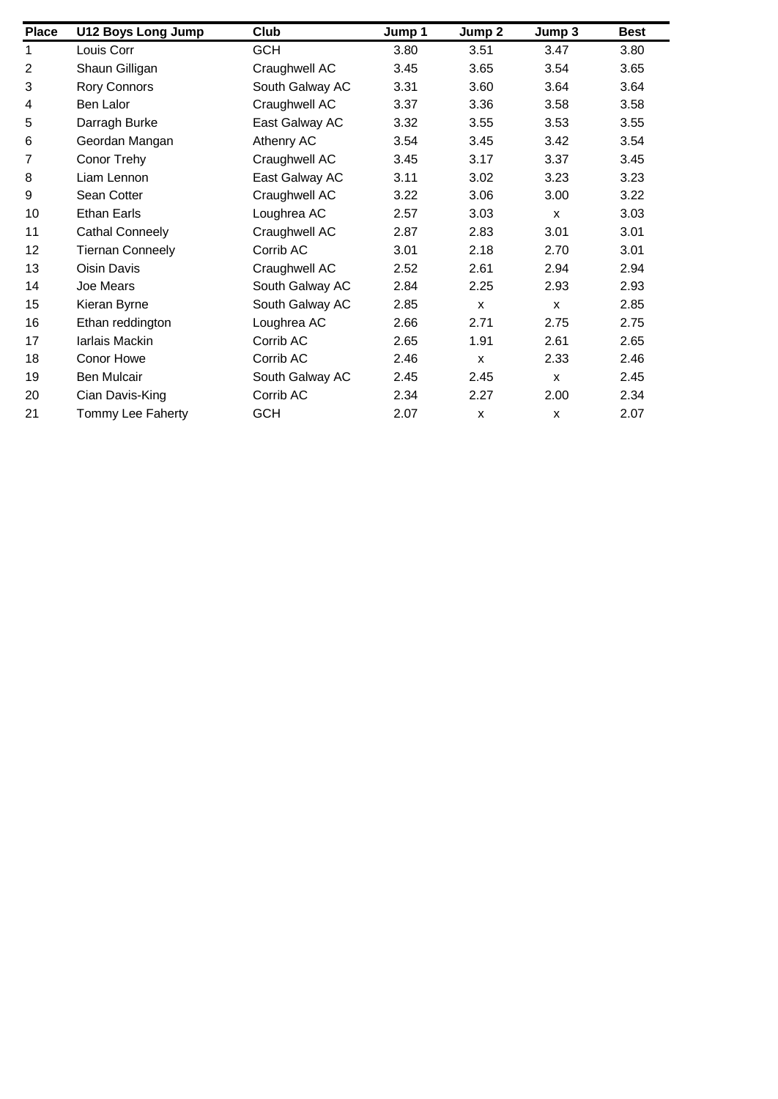| <b>Place</b>   | <b>U12 Boys Long Jump</b> | Club            | Jump 1 | Jump 2 | Jump 3       | <b>Best</b> |
|----------------|---------------------------|-----------------|--------|--------|--------------|-------------|
| 1              | Louis Corr                | <b>GCH</b>      | 3.80   | 3.51   | 3.47         | 3.80        |
| $\overline{2}$ | Shaun Gilligan            | Craughwell AC   | 3.45   | 3.65   | 3.54         | 3.65        |
| 3              | <b>Rory Connors</b>       | South Galway AC | 3.31   | 3.60   | 3.64         | 3.64        |
| 4              | Ben Lalor                 | Craughwell AC   | 3.37   | 3.36   | 3.58         | 3.58        |
| 5              | Darragh Burke             | East Galway AC  | 3.32   | 3.55   | 3.53         | 3.55        |
| 6              | Geordan Mangan            | Athenry AC      | 3.54   | 3.45   | 3.42         | 3.54        |
| 7              | Conor Trehy               | Craughwell AC   | 3.45   | 3.17   | 3.37         | 3.45        |
| 8              | Liam Lennon               | East Galway AC  | 3.11   | 3.02   | 3.23         | 3.23        |
| 9              | Sean Cotter               | Craughwell AC   | 3.22   | 3.06   | 3.00         | 3.22        |
| 10             | <b>Ethan Earls</b>        | Loughrea AC     | 2.57   | 3.03   | $\mathsf{x}$ | 3.03        |
| 11             | Cathal Conneely           | Craughwell AC   | 2.87   | 2.83   | 3.01         | 3.01        |
| 12             | <b>Tiernan Conneely</b>   | Corrib AC       | 3.01   | 2.18   | 2.70         | 3.01        |
| 13             | <b>Oisin Davis</b>        | Craughwell AC   | 2.52   | 2.61   | 2.94         | 2.94        |
| 14             | Joe Mears                 | South Galway AC | 2.84   | 2.25   | 2.93         | 2.93        |
| 15             | Kieran Byrne              | South Galway AC | 2.85   | X      | $\mathsf{x}$ | 2.85        |
| 16             | Ethan reddington          | Loughrea AC     | 2.66   | 2.71   | 2.75         | 2.75        |
| 17             | Iarlais Mackin            | Corrib AC       | 2.65   | 1.91   | 2.61         | 2.65        |
| 18             | Conor Howe                | Corrib AC       | 2.46   | X      | 2.33         | 2.46        |
| 19             | Ben Mulcair               | South Galway AC | 2.45   | 2.45   | $\mathsf{x}$ | 2.45        |
| 20             | Cian Davis-King           | Corrib AC       | 2.34   | 2.27   | 2.00         | 2.34        |
| 21             | Tommy Lee Faherty         | <b>GCH</b>      | 2.07   | x      | X            | 2.07        |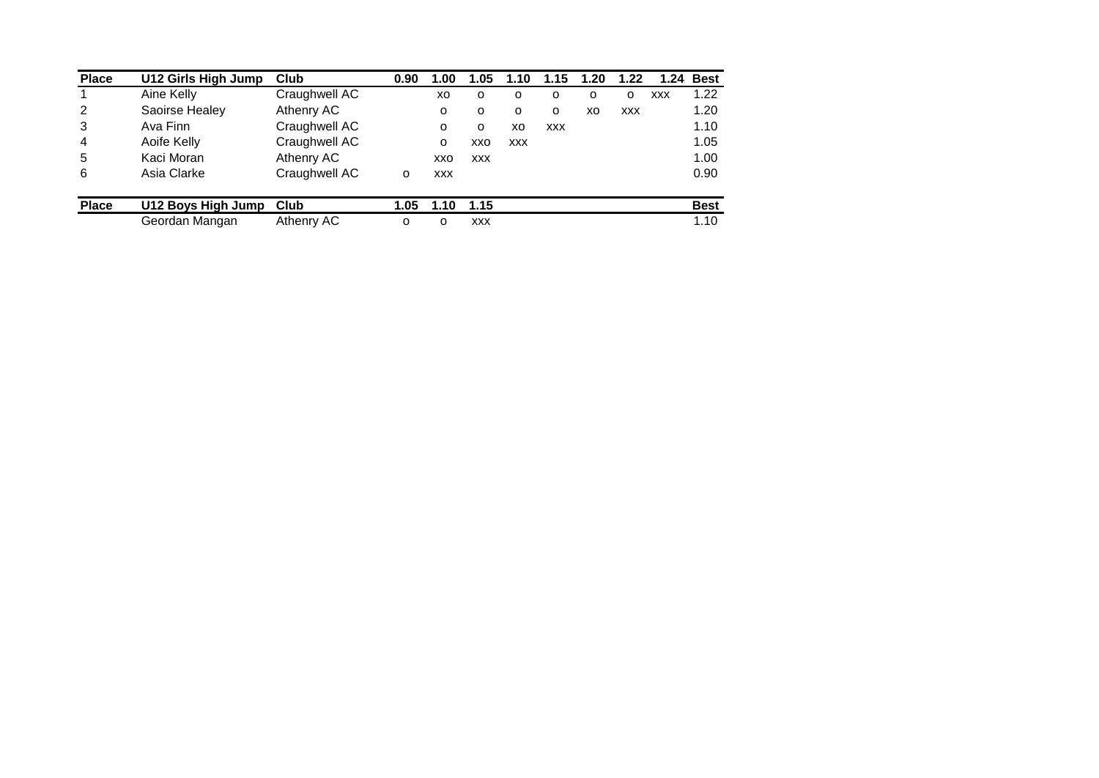| <b>Place</b> | U12 Girls High Jump | Club          | 0.90 | 1.00       | 1.05       | 1.10       | 1.15       | 1.20 | 1.22       | 1.24       | <b>Best</b> |
|--------------|---------------------|---------------|------|------------|------------|------------|------------|------|------------|------------|-------------|
|              | Aine Kelly          | Craughwell AC |      | XO         | O          | O          | O          | o    | o          | <b>XXX</b> | 1.22        |
| 2            | Saoirse Healey      | Athenry AC    |      | $\circ$    | $\Omega$   | $\Omega$   | O          | xо   | <b>XXX</b> |            | 1.20        |
| 3            | Ava Finn            | Craughwell AC |      | $\Omega$   | $\Omega$   | хo         | <b>XXX</b> |      |            |            | 1.10        |
| 4            | Aoife Kelly         | Craughwell AC |      | $\circ$    | XXO        | <b>XXX</b> |            |      |            |            | 1.05        |
| 5            | Kaci Moran          | Athenry AC    |      | xxo        | <b>XXX</b> |            |            |      |            |            | 1.00        |
| 6            | Asia Clarke         | Craughwell AC | O    | <b>XXX</b> |            |            |            |      |            |            | 0.90        |
| <b>Place</b> | U12 Boys High Jump  | Club          | 1.05 | 1.10       | 1.15       |            |            |      |            |            | <b>Best</b> |
|              | Geordan Mangan      | Athenry AC    | o    | O          | <b>XXX</b> |            |            |      |            |            | 1.10        |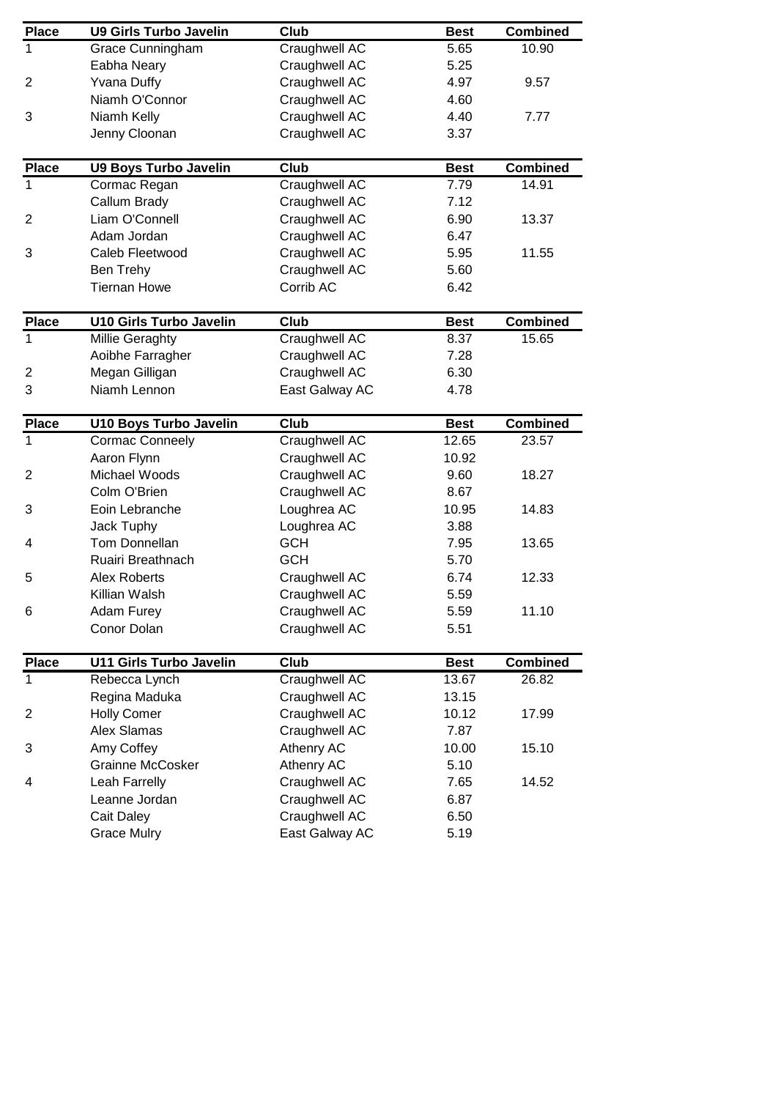| <b>Place</b>    | <b>U9 Girls Turbo Javelin</b>  | Club           | <b>Best</b>  | <b>Combined</b> |
|-----------------|--------------------------------|----------------|--------------|-----------------|
| 1               | Grace Cunningham               | Craughwell AC  | 5.65         | 10.90           |
|                 | Eabha Neary                    | Craughwell AC  | 5.25         |                 |
| $\overline{2}$  | <b>Yvana Duffy</b>             | Craughwell AC  | 4.97         | 9.57            |
|                 | Niamh O'Connor                 | Craughwell AC  | 4.60         |                 |
| 3               | Niamh Kelly                    | Craughwell AC  | 4.40         | 7.77            |
|                 | Jenny Cloonan                  | Craughwell AC  | 3.37         |                 |
|                 |                                |                |              |                 |
| <b>Place</b>    | <b>U9 Boys Turbo Javelin</b>   | Club           | <b>Best</b>  | <b>Combined</b> |
| 1               | Cormac Regan                   | Craughwell AC  | 7.79         | 14.91           |
|                 | Callum Brady                   | Craughwell AC  | 7.12         |                 |
| $\overline{2}$  | Liam O'Connell                 | Craughwell AC  | 6.90         | 13.37           |
|                 | Adam Jordan                    | Craughwell AC  | 6.47         |                 |
| 3               | Caleb Fleetwood                | Craughwell AC  | 5.95         | 11.55           |
|                 |                                |                |              |                 |
|                 | Ben Trehy                      | Craughwell AC  | 5.60<br>6.42 |                 |
|                 | <b>Tiernan Howe</b>            | Corrib AC      |              |                 |
| <b>Place</b>    | <b>U10 Girls Turbo Javelin</b> | Club           | <b>Best</b>  | <b>Combined</b> |
| 1               | <b>Millie Geraghty</b>         | Craughwell AC  | 8.37         | 15.65           |
|                 | Aoibhe Farragher               | Craughwell AC  | 7.28         |                 |
| $\overline{c}$  | Megan Gilligan                 | Craughwell AC  | 6.30         |                 |
| 3               | Niamh Lennon                   | East Galway AC | 4.78         |                 |
|                 |                                |                |              |                 |
| <b>Place</b>    | <b>U10 Boys Turbo Javelin</b>  | Club           | <b>Best</b>  | <b>Combined</b> |
| 1               | <b>Cormac Conneely</b>         | Craughwell AC  | 12.65        | 23.57           |
|                 | Aaron Flynn                    | Craughwell AC  | 10.92        |                 |
| $\overline{2}$  | Michael Woods                  | Craughwell AC  | 9.60         | 18.27           |
|                 | Colm O'Brien                   | Craughwell AC  | 8.67         |                 |
| 3               | Eoin Lebranche                 | Loughrea AC    | 10.95        | 14.83           |
|                 | Jack Tuphy                     | Loughrea AC    | 3.88         |                 |
| 4               | Tom Donnellan                  | <b>GCH</b>     | 7.95         | 13.65           |
|                 | Ruairi Breathnach              | <b>GCH</b>     | 5.70         |                 |
| 5               | <b>Alex Roberts</b>            | Craughwell AC  | 6.74         | 12.33           |
|                 | Killian Walsh                  | Craughwell AC  | 5.59         |                 |
| $6\phantom{1}6$ | Adam Furey                     | Craughwell AC  | 5.59         | 11.10           |
|                 | Conor Dolan                    | Craughwell AC  | 5.51         |                 |
|                 |                                |                |              |                 |
| <b>Place</b>    | <b>U11 Girls Turbo Javelin</b> | Club           | <b>Best</b>  | <b>Combined</b> |
| 1               | Rebecca Lynch                  | Craughwell AC  | 13.67        | 26.82           |
|                 | Regina Maduka                  | Craughwell AC  | 13.15        |                 |
| $\overline{c}$  | <b>Holly Comer</b>             | Craughwell AC  | 10.12        | 17.99           |
|                 | Alex Slamas                    | Craughwell AC  | 7.87         |                 |
| 3               | Amy Coffey                     | Athenry AC     | 10.00        | 15.10           |
|                 | <b>Grainne McCosker</b>        | Athenry AC     | 5.10         |                 |
| 4               | Leah Farrelly                  | Craughwell AC  | 7.65         | 14.52           |
|                 |                                |                |              |                 |
|                 | Leanne Jordan                  | Craughwell AC  | 6.87         |                 |
|                 | Cait Daley                     | Craughwell AC  | 6.50         |                 |
|                 | <b>Grace Mulry</b>             | East Galway AC | 5.19         |                 |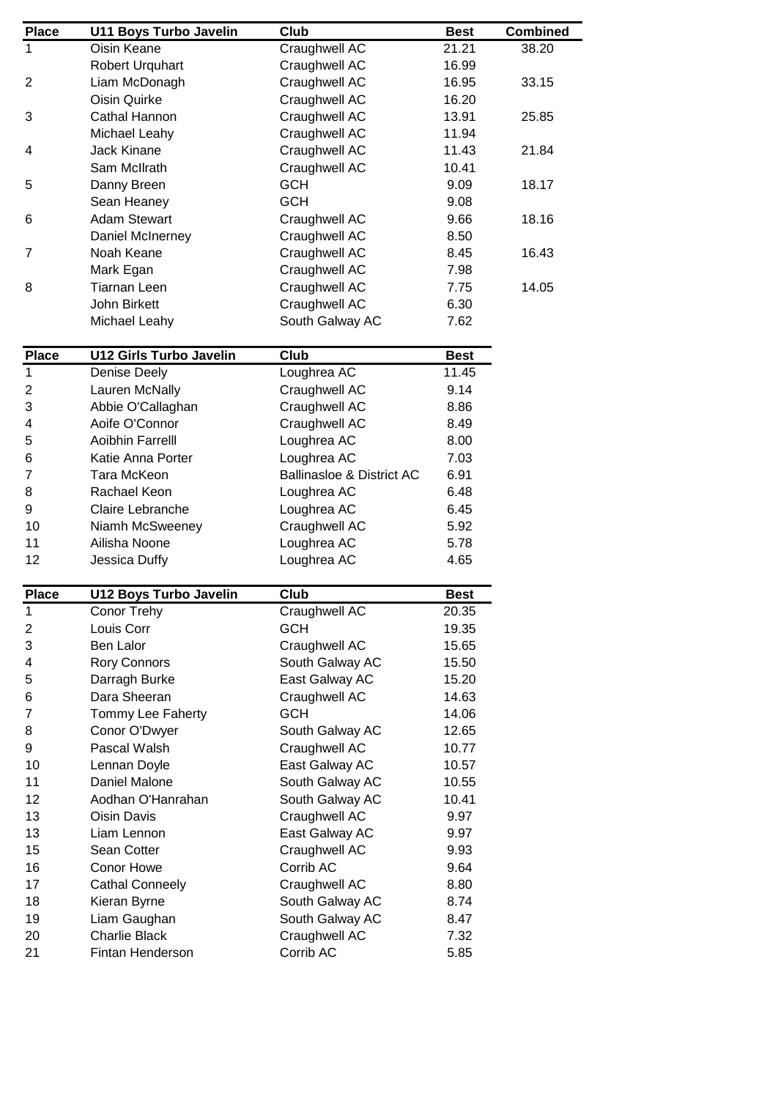| <b>Place</b>   | <b>U11 Boys Turbo Javelin</b>  | Club                                 | <b>Best</b> | <b>Combined</b> |
|----------------|--------------------------------|--------------------------------------|-------------|-----------------|
| $\mathbf{1}$   | Oisin Keane                    | Craughwell AC                        | 21.21       | 38.20           |
|                | Robert Urquhart                | Craughwell AC                        | 16.99       |                 |
| $\overline{2}$ | Liam McDonagh                  | Craughwell AC                        | 16.95       | 33.15           |
|                | Oisin Quirke                   | Craughwell AC                        | 16.20       |                 |
| 3              | Cathal Hannon                  | Craughwell AC                        | 13.91       | 25.85           |
|                | Michael Leahy                  | Craughwell AC                        | 11.94       |                 |
| 4              | Jack Kinane                    | Craughwell AC                        | 11.43       | 21.84           |
|                | Sam McIlrath                   | Craughwell AC                        | 10.41       |                 |
| 5              | Danny Breen                    | <b>GCH</b>                           | 9.09        | 18.17           |
|                | Sean Heaney                    | <b>GCH</b>                           | 9.08        |                 |
| 6              | <b>Adam Stewart</b>            | Craughwell AC                        | 9.66        | 18.16           |
|                | Daniel McInerney               | Craughwell AC                        | 8.50        |                 |
| 7              | Noah Keane                     | Craughwell AC                        | 8.45        | 16.43           |
|                | Mark Egan                      | Craughwell AC                        | 7.98        |                 |
| 8              | <b>Tiarnan Leen</b>            | Craughwell AC                        | 7.75        | 14.05           |
|                | John Birkett                   | Craughwell AC                        | 6.30        |                 |
|                | Michael Leahy                  | South Galway AC                      | 7.62        |                 |
|                |                                |                                      |             |                 |
| <b>Place</b>   | <b>U12 Girls Turbo Javelin</b> | Club                                 | <b>Best</b> |                 |
| $\mathbf{1}$   | Denise Deely                   | Loughrea AC                          | 11.45       |                 |
| $\overline{c}$ | Lauren McNally                 | Craughwell AC                        | 9.14        |                 |
| 3              | Abbie O'Callaghan              | Craughwell AC                        | 8.86        |                 |
| 4              | Aoife O'Connor                 | Craughwell AC                        | 8.49        |                 |
| 5              | Aoibhin Farrelll               | Loughrea AC                          | 8.00        |                 |
| 6              | Katie Anna Porter              | Loughrea AC                          | 7.03        |                 |
| $\overline{7}$ | Tara McKeon                    | <b>Ballinasloe &amp; District AC</b> | 6.91        |                 |
| 8              | Rachael Keon                   | Loughrea AC                          | 6.48        |                 |
| 9              | Claire Lebranche               | Loughrea AC                          | 6.45        |                 |
| 10             | Niamh McSweeney                | Craughwell AC                        | 5.92        |                 |
| 11             | Ailisha Noone                  | Loughrea AC                          | 5.78        |                 |
| 12             | Jessica Duffy                  | Loughrea AC                          | 4.65        |                 |
|                |                                |                                      |             |                 |
| <b>Place</b>   | <b>U12 Boys Turbo Javelin</b>  | $\overline{\text{C}}$ lub            | <b>Best</b> |                 |
| 1              | Conor Trehy                    | <b>Craughwell AC</b>                 | 20.35       |                 |
| $\overline{c}$ | Louis Corr                     | <b>GCH</b>                           | 19.35       |                 |
| 3              | Ben Lalor                      | Craughwell AC                        | 15.65       |                 |
| 4              | <b>Rory Connors</b>            | South Galway AC                      | 15.50       |                 |
| 5              | Darragh Burke                  | East Galway AC                       | 15.20       |                 |
| 6              | Dara Sheeran                   | Craughwell AC                        | 14.63       |                 |
| 7              | Tommy Lee Faherty              | <b>GCH</b>                           | 14.06       |                 |
| 8              | Conor O'Dwyer                  | South Galway AC                      | 12.65       |                 |
| 9              | Pascal Walsh                   | Craughwell AC                        | 10.77       |                 |
| 10             | Lennan Doyle                   | East Galway AC                       | 10.57       |                 |
| 11             | Daniel Malone                  | South Galway AC                      | 10.55       |                 |
| 12             | Aodhan O'Hanrahan              | South Galway AC                      | 10.41       |                 |
| 13             | Oisin Davis                    | Craughwell AC                        | 9.97        |                 |
| 13             | Liam Lennon                    | East Galway AC                       | 9.97        |                 |
| 15             | Sean Cotter                    | Craughwell AC                        | 9.93        |                 |
| 16             | Conor Howe                     | Corrib AC                            | 9.64        |                 |
| 17             | <b>Cathal Conneely</b>         | Craughwell AC                        | 8.80        |                 |
| 18             | Kieran Byrne                   | South Galway AC                      | 8.74        |                 |
| 19             | Liam Gaughan                   | South Galway AC                      | 8.47        |                 |
| 20             | <b>Charlie Black</b>           | Craughwell AC                        | 7.32        |                 |
| 21             |                                | Corrib AC                            | 5.85        |                 |
|                | Fintan Henderson               |                                      |             |                 |